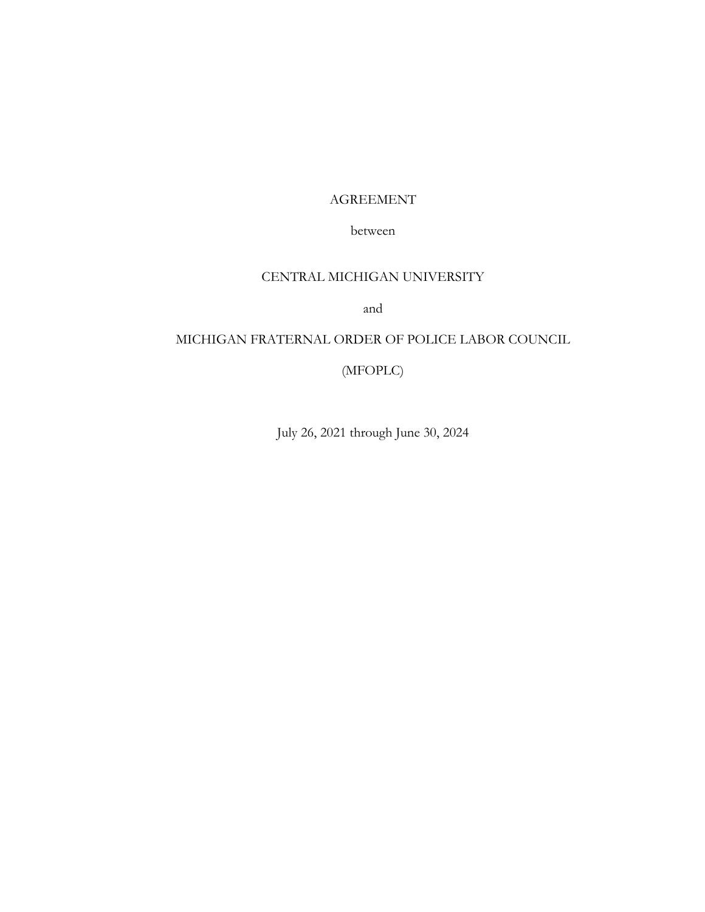# AGREEMENT

# between

# CENTRAL MICHIGAN UNIVERSITY

and

# MICHIGAN FRATERNAL ORDER OF POLICE LABOR COUNCIL

(MFOPLC)

July 26, 2021 through June 30, 2024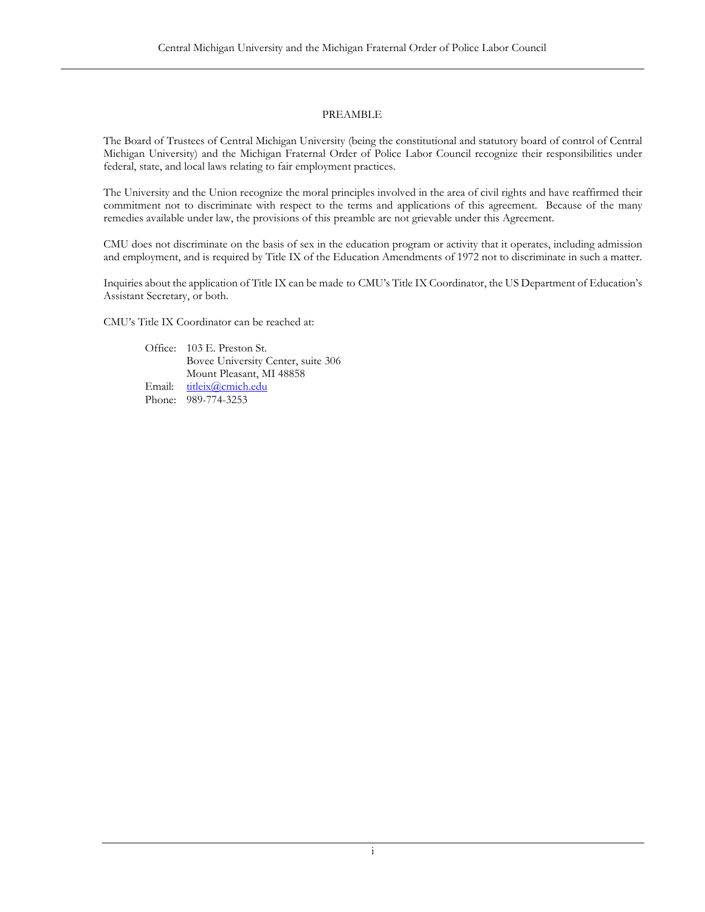# PREAMBLE

The Board of Trustees of Central Michigan University (being the constitutional and statutory board of control of Central Michigan University) and the Michigan Fraternal Order of Police Labor Council recognize their responsibilities under federal, state, and local laws relating to fair employment practices.

The University and the Union recognize the moral principles involved in the area of civil rights and have reaffirmed their commitment not to discriminate with respect to the terms and applications of this agreement. Because of the many remedies available under law, the provisions of this preamble are not grievable under this Agreement.

CMU does not discriminate on the basis of sex in the education program or activity that it operates, including admission and employment, and is required by Title IX of the Education Amendments of 1972 not to discriminate in such a matter.

Inquiries about the application of Title IX can be made to CMU's Title IX Coordinator, the US Department of Education's Assistant Secretary, or both.

CMU's Title IX Coordinator can be reached at:

Office: 103 E. Preston St. Bovee University Center, suite 306 Mount Pleasant, MI 48858 Email: [titleix@cmich.edu](mailto:titleix@cmich.edu) Phone: 989-774-3253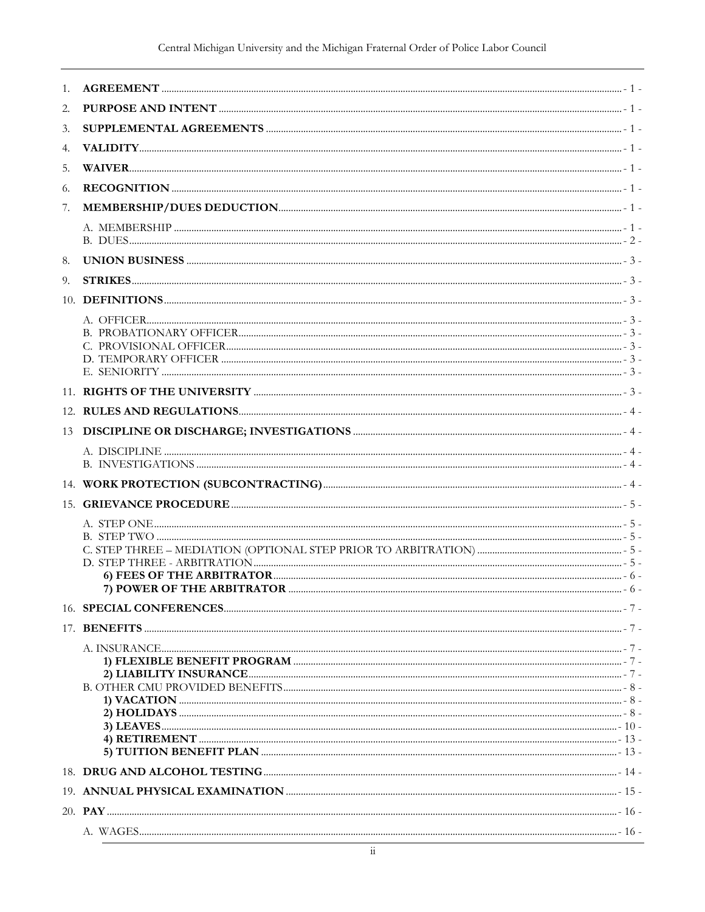| 1. |                       |  |
|----|-----------------------|--|
| 2. |                       |  |
| 3. |                       |  |
| 4. |                       |  |
| 5. |                       |  |
| 6. |                       |  |
| 7. |                       |  |
|    |                       |  |
| 8. |                       |  |
| 9. |                       |  |
|    |                       |  |
|    |                       |  |
|    |                       |  |
|    |                       |  |
|    | E. SENIORITY $\ldots$ |  |
|    |                       |  |
|    |                       |  |
|    |                       |  |
|    |                       |  |
|    |                       |  |
|    |                       |  |
|    |                       |  |
|    |                       |  |
|    |                       |  |
|    |                       |  |
|    |                       |  |
|    |                       |  |
|    |                       |  |
|    |                       |  |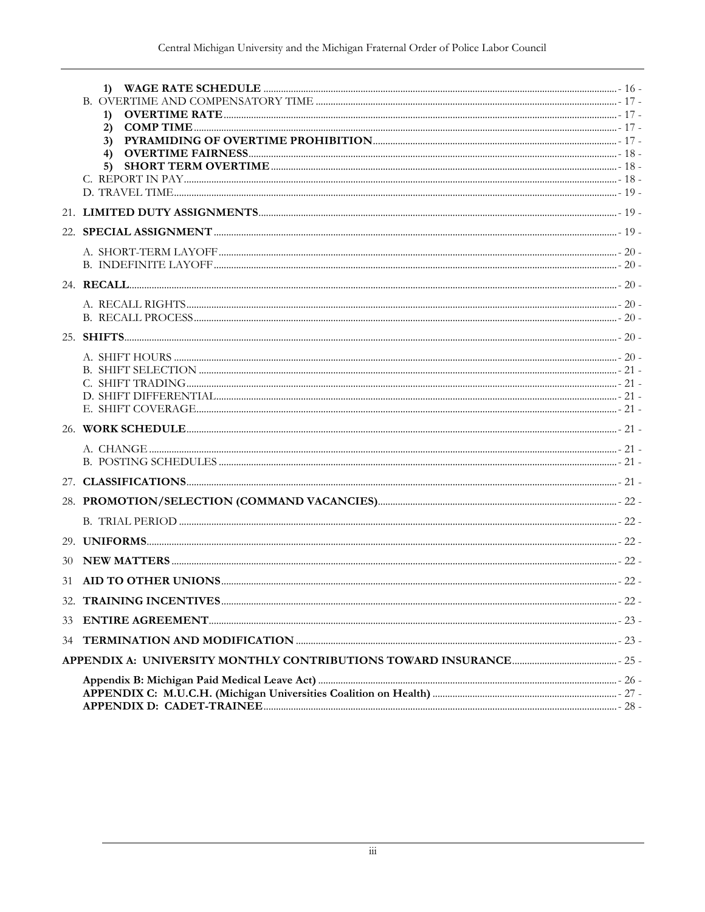|    | $\left( \mathbf{1}\right)$ |  |
|----|----------------------------|--|
|    | 2)                         |  |
|    | 3)                         |  |
|    | 4)                         |  |
|    | 5)                         |  |
|    |                            |  |
|    |                            |  |
|    |                            |  |
|    |                            |  |
|    |                            |  |
|    |                            |  |
|    |                            |  |
|    |                            |  |
|    |                            |  |
|    |                            |  |
|    |                            |  |
|    |                            |  |
|    |                            |  |
|    |                            |  |
|    |                            |  |
|    |                            |  |
|    |                            |  |
|    |                            |  |
|    |                            |  |
|    |                            |  |
|    |                            |  |
|    |                            |  |
|    |                            |  |
|    |                            |  |
| 33 |                            |  |
| 34 |                            |  |
|    |                            |  |
|    |                            |  |
|    |                            |  |
|    |                            |  |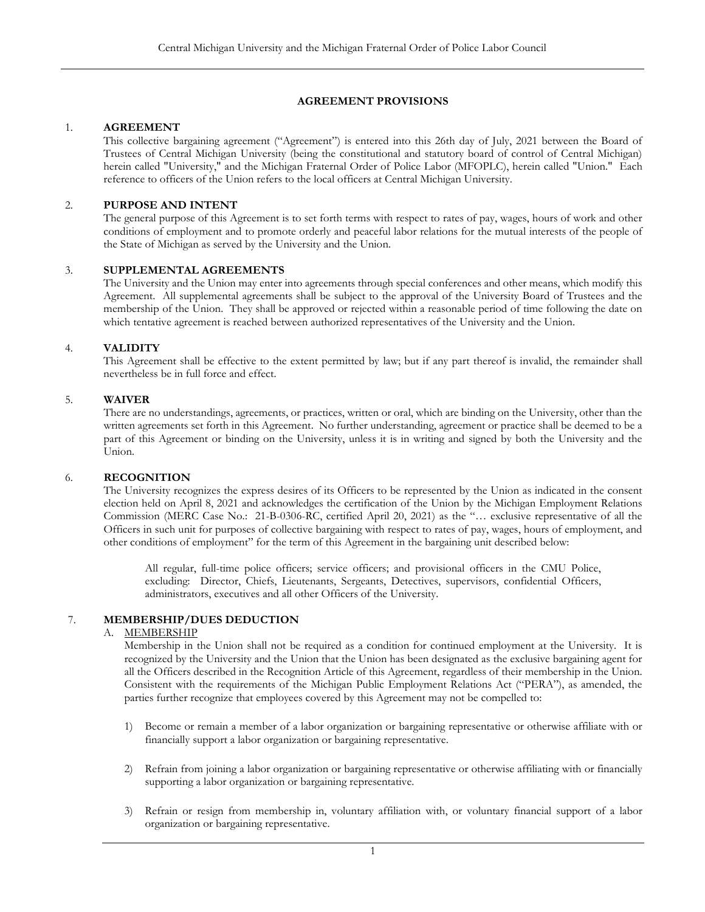# **AGREEMENT PROVISIONS**

### <span id="page-4-0"></span>1. **AGREEMENT**

This collective bargaining agreement ("Agreement") is entered into this 26th day of July, 2021 between the Board of Trustees of Central Michigan University (being the constitutional and statutory board of control of Central Michigan) herein called "University," and the Michigan Fraternal Order of Police Labor (MFOPLC), herein called "Union." Each reference to officers of the Union refers to the local officers at Central Michigan University.

### <span id="page-4-1"></span>2. **PURPOSE AND INTENT**

The general purpose of this Agreement is to set forth terms with respect to rates of pay, wages, hours of work and other conditions of employment and to promote orderly and peaceful labor relations for the mutual interests of the people of the State of Michigan as served by the University and the Union.

### <span id="page-4-2"></span>3. **SUPPLEMENTAL AGREEMENTS**

The University and the Union may enter into agreements through special conferences and other means, which modify this Agreement. All supplemental agreements shall be subject to the approval of the University Board of Trustees and the membership of the Union. They shall be approved or rejected within a reasonable period of time following the date on which tentative agreement is reached between authorized representatives of the University and the Union.

### <span id="page-4-3"></span>4. **VALIDITY**

This Agreement shall be effective to the extent permitted by law; but if any part thereof is invalid, the remainder shall nevertheless be in full force and effect.

### <span id="page-4-4"></span>5. **WAIVER**

There are no understandings, agreements, or practices, written or oral, which are binding on the University, other than the written agreements set forth in this Agreement. No further understanding, agreement or practice shall be deemed to be a part of this Agreement or binding on the University, unless it is in writing and signed by both the University and the Union.

### <span id="page-4-5"></span>6. **RECOGNITION**

The University recognizes the express desires of its Officers to be represented by the Union as indicated in the consent election held on April 8, 2021 and acknowledges the certification of the Union by the Michigan Employment Relations Commission (MERC Case No.: 21-B-0306-RC, certified April 20, 2021) as the "… exclusive representative of all the Officers in such unit for purposes of collective bargaining with respect to rates of pay, wages, hours of employment, and other conditions of employment" for the term of this Agreement in the bargaining unit described below:

All regular, full-time police officers; service officers; and provisional officers in the CMU Police, excluding: Director, Chiefs, Lieutenants, Sergeants, Detectives, supervisors, confidential Officers, administrators, executives and all other Officers of the University.

# <span id="page-4-7"></span><span id="page-4-6"></span>7. **MEMBERSHIP/DUES DEDUCTION**

### A. MEMBERSHIP

Membership in the Union shall not be required as a condition for continued employment at the University. It is recognized by the University and the Union that the Union has been designated as the exclusive bargaining agent for all the Officers described in the Recognition Article of this Agreement, regardless of their membership in the Union. Consistent with the requirements of the Michigan Public Employment Relations Act ("PERA"), as amended, the parties further recognize that employees covered by this Agreement may not be compelled to:

- 1) Become or remain a member of a labor organization or bargaining representative or otherwise affiliate with or financially support a labor organization or bargaining representative.
- 2) Refrain from joining a labor organization or bargaining representative or otherwise affiliating with or financially supporting a labor organization or bargaining representative.
- 3) Refrain or resign from membership in, voluntary affiliation with, or voluntary financial support of a labor organization or bargaining representative.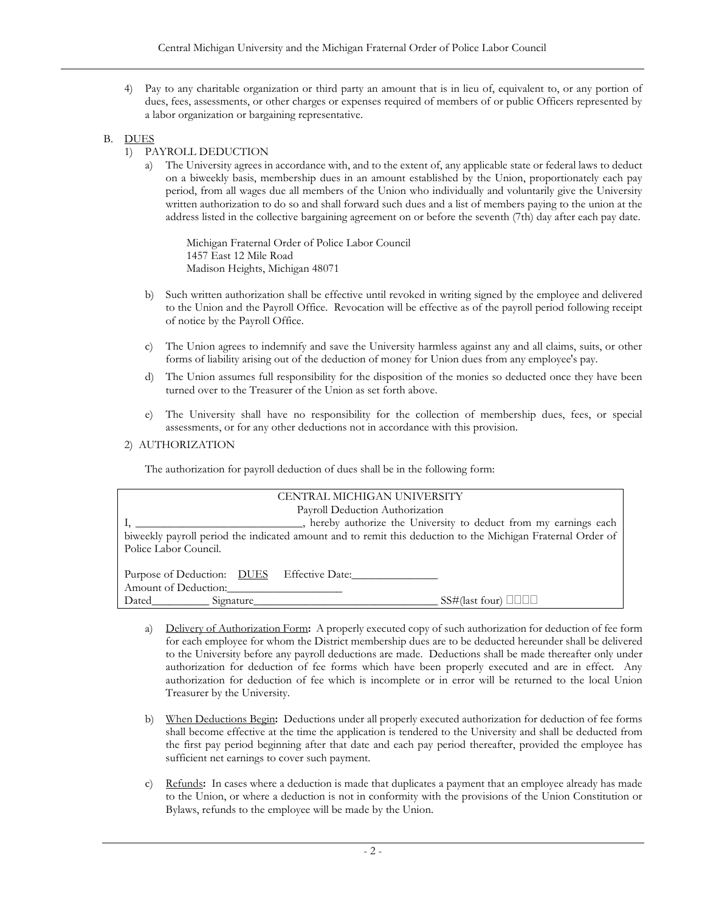4) Pay to any charitable organization or third party an amount that is in lieu of, equivalent to, or any portion of dues, fees, assessments, or other charges or expenses required of members of or public Officers represented by a labor organization or bargaining representative.

# <span id="page-5-0"></span>B. DUES

- 1) PAYROLL DEDUCTION
	- a) The University agrees in accordance with, and to the extent of, any applicable state or federal laws to deduct on a biweekly basis, membership dues in an amount established by the Union, proportionately each pay period, from all wages due all members of the Union who individually and voluntarily give the University written authorization to do so and shall forward such dues and a list of members paying to the union at the address listed in the collective bargaining agreement on or before the seventh (7th) day after each pay date.

Michigan Fraternal Order of Police Labor Council 1457 East 12 Mile Road Madison Heights, Michigan 48071

- b) Such written authorization shall be effective until revoked in writing signed by the employee and delivered to the Union and the Payroll Office. Revocation will be effective as of the payroll period following receipt of notice by the Payroll Office.
- c) The Union agrees to indemnify and save the University harmless against any and all claims, suits, or other forms of liability arising out of the deduction of money for Union dues from any employee's pay.
- d) The Union assumes full responsibility for the disposition of the monies so deducted once they have been turned over to the Treasurer of the Union as set forth above.
- e) The University shall have no responsibility for the collection of membership dues, fees, or special assessments, or for any other deductions not in accordance with this provision.

# 2) AUTHORIZATION

The authorization for payroll deduction of dues shall be in the following form:

| CENTRAL MICHIGAN UNIVERSITY                                                                                 |  |  |  |
|-------------------------------------------------------------------------------------------------------------|--|--|--|
| Payroll Deduction Authorization                                                                             |  |  |  |
| hereby authorize the University to deduct from my earnings each                                             |  |  |  |
| biweekly payroll period the indicated amount and to remit this deduction to the Michigan Fraternal Order of |  |  |  |
| Police Labor Council.                                                                                       |  |  |  |
|                                                                                                             |  |  |  |
| Purpose of Deduction: DUES Effective Date:                                                                  |  |  |  |
| Amount of Deduction:                                                                                        |  |  |  |
| $S\rightarrow$ (last four) $\Box$<br>Dated_____________________Signature_                                   |  |  |  |

- a) Delivery of Authorization Form**:** A properly executed copy of such authorization for deduction of fee form for each employee for whom the District membership dues are to be deducted hereunder shall be delivered to the University before any payroll deductions are made. Deductions shall be made thereafter only under authorization for deduction of fee forms which have been properly executed and are in effect. Any authorization for deduction of fee which is incomplete or in error will be returned to the local Union Treasurer by the University.
- b) When Deductions Begin**:** Deductions under all properly executed authorization for deduction of fee forms shall become effective at the time the application is tendered to the University and shall be deducted from the first pay period beginning after that date and each pay period thereafter, provided the employee has sufficient net earnings to cover such payment.
- c) Refunds**:** In cases where a deduction is made that duplicates a payment that an employee already has made to the Union, or where a deduction is not in conformity with the provisions of the Union Constitution or Bylaws, refunds to the employee will be made by the Union.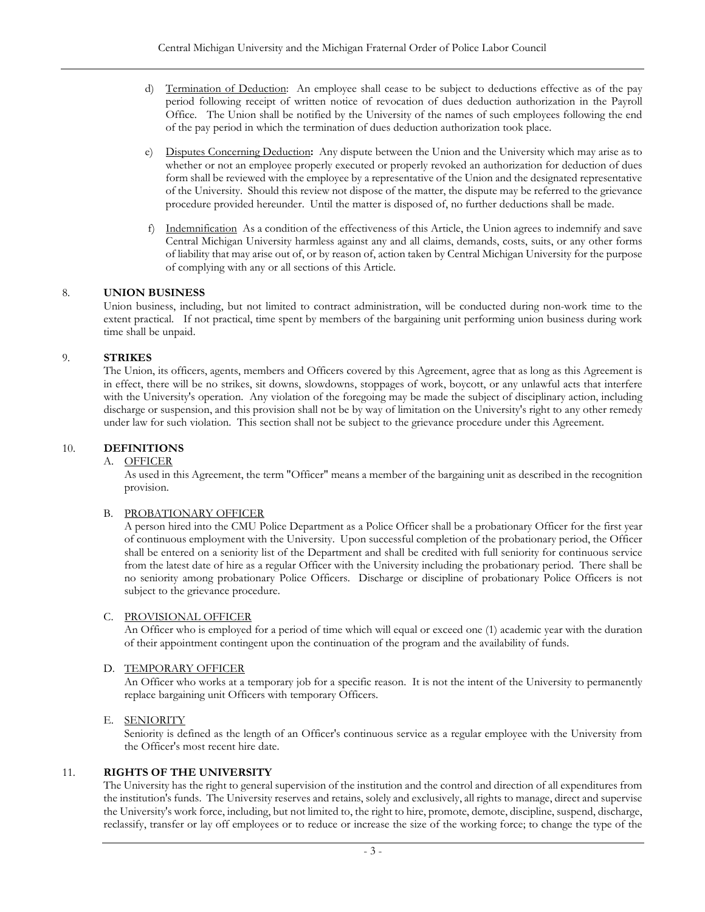- d) Termination of Deduction: An employee shall cease to be subject to deductions effective as of the pay period following receipt of written notice of revocation of dues deduction authorization in the Payroll Office. The Union shall be notified by the University of the names of such employees following the end of the pay period in which the termination of dues deduction authorization took place.
- e) Disputes Concerning Deduction**:** Any dispute between the Union and the University which may arise as to whether or not an employee properly executed or properly revoked an authorization for deduction of dues form shall be reviewed with the employee by a representative of the Union and the designated representative of the University. Should this review not dispose of the matter, the dispute may be referred to the grievance procedure provided hereunder. Until the matter is disposed of, no further deductions shall be made.
- f) Indemnification As a condition of the effectiveness of this Article, the Union agrees to indemnify and save Central Michigan University harmless against any and all claims, demands, costs, suits, or any other forms of liability that may arise out of, or by reason of, action taken by Central Michigan University for the purpose of complying with any or all sections of this Article.

# <span id="page-6-0"></span>8. **UNION BUSINESS**

Union business, including, but not limited to contract administration, will be conducted during non-work time to the extent practical. If not practical, time spent by members of the bargaining unit performing union business during work time shall be unpaid.

### <span id="page-6-1"></span>9. **STRIKES**

The Union, its officers, agents, members and Officers covered by this Agreement, agree that as long as this Agreement is in effect, there will be no strikes, sit downs, slowdowns, stoppages of work, boycott, or any unlawful acts that interfere with the University's operation. Any violation of the foregoing may be made the subject of disciplinary action, including discharge or suspension, and this provision shall not be by way of limitation on the University's right to any other remedy under law for such violation. This section shall not be subject to the grievance procedure under this Agreement.

### <span id="page-6-3"></span><span id="page-6-2"></span>10. **DEFINITIONS**

### A. OFFICER

As used in this Agreement, the term "Officer" means a member of the bargaining unit as described in the recognition provision.

### <span id="page-6-4"></span>B. PROBATIONARY OFFICER

A person hired into the CMU Police Department as a Police Officer shall be a probationary Officer for the first year of continuous employment with the University. Upon successful completion of the probationary period, the Officer shall be entered on a seniority list of the Department and shall be credited with full seniority for continuous service from the latest date of hire as a regular Officer with the University including the probationary period. There shall be no seniority among probationary Police Officers. Discharge or discipline of probationary Police Officers is not subject to the grievance procedure.

### <span id="page-6-5"></span>C. PROVISIONAL OFFICER

An Officer who is employed for a period of time which will equal or exceed one (1) academic year with the duration of their appointment contingent upon the continuation of the program and the availability of funds.

# <span id="page-6-6"></span>D. TEMPORARY OFFICER

An Officer who works at a temporary job for a specific reason. It is not the intent of the University to permanently replace bargaining unit Officers with temporary Officers.

### <span id="page-6-7"></span>E. SENIORITY

Seniority is defined as the length of an Officer's continuous service as a regular employee with the University from the Officer's most recent hire date.

### <span id="page-6-8"></span>11. **RIGHTS OF THE UNIVERSITY**

The University has the right to general supervision of the institution and the control and direction of all expenditures from the institution's funds. The University reserves and retains, solely and exclusively, all rights to manage, direct and supervise the University's work force, including, but not limited to, the right to hire, promote, demote, discipline, suspend, discharge, reclassify, transfer or lay off employees or to reduce or increase the size of the working force; to change the type of the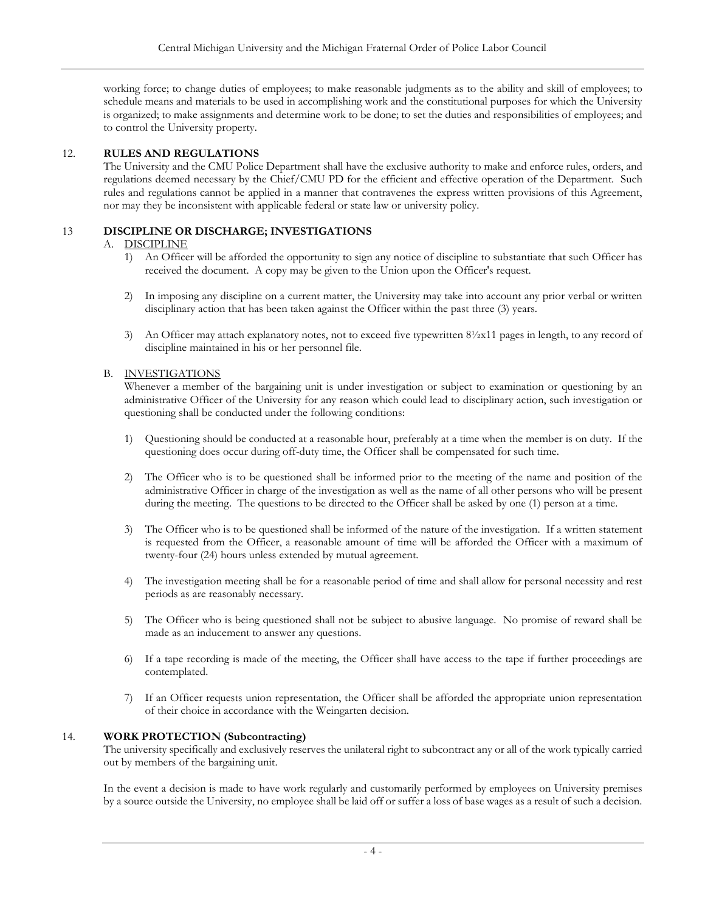working force; to change duties of employees; to make reasonable judgments as to the ability and skill of employees; to schedule means and materials to be used in accomplishing work and the constitutional purposes for which the University is organized; to make assignments and determine work to be done; to set the duties and responsibilities of employees; and to control the University property.

# <span id="page-7-0"></span>12. **RULES AND REGULATIONS**

The University and the CMU Police Department shall have the exclusive authority to make and enforce rules, orders, and regulations deemed necessary by the Chief/CMU PD for the efficient and effective operation of the Department. Such rules and regulations cannot be applied in a manner that contravenes the express written provisions of this Agreement, nor may they be inconsistent with applicable federal or state law or university policy.

# <span id="page-7-2"></span><span id="page-7-1"></span>13 **DISCIPLINE OR DISCHARGE; INVESTIGATIONS**

### A. DISCIPLINE

- 1) An Officer will be afforded the opportunity to sign any notice of discipline to substantiate that such Officer has received the document. A copy may be given to the Union upon the Officer's request.
- 2) In imposing any discipline on a current matter, the University may take into account any prior verbal or written disciplinary action that has been taken against the Officer within the past three (3) years.
- 3) An Officer may attach explanatory notes, not to exceed five typewritten 8½x11 pages in length, to any record of discipline maintained in his or her personnel file.

### <span id="page-7-3"></span>B. INVESTIGATIONS

Whenever a member of the bargaining unit is under investigation or subject to examination or questioning by an administrative Officer of the University for any reason which could lead to disciplinary action, such investigation or questioning shall be conducted under the following conditions:

- 1) Questioning should be conducted at a reasonable hour, preferably at a time when the member is on duty. If the questioning does occur during off-duty time, the Officer shall be compensated for such time.
- 2) The Officer who is to be questioned shall be informed prior to the meeting of the name and position of the administrative Officer in charge of the investigation as well as the name of all other persons who will be present during the meeting. The questions to be directed to the Officer shall be asked by one (1) person at a time.
- 3) The Officer who is to be questioned shall be informed of the nature of the investigation. If a written statement is requested from the Officer, a reasonable amount of time will be afforded the Officer with a maximum of twenty-four (24) hours unless extended by mutual agreement.
- 4) The investigation meeting shall be for a reasonable period of time and shall allow for personal necessity and rest periods as are reasonably necessary.
- 5) The Officer who is being questioned shall not be subject to abusive language. No promise of reward shall be made as an inducement to answer any questions.
- 6) If a tape recording is made of the meeting, the Officer shall have access to the tape if further proceedings are contemplated.
- 7) If an Officer requests union representation, the Officer shall be afforded the appropriate union representation of their choice in accordance with the Weingarten decision.

### <span id="page-7-4"></span>14. **WORK PROTECTION (Subcontracting)**

The university specifically and exclusively reserves the unilateral right to subcontract any or all of the work typically carried out by members of the bargaining unit.

In the event a decision is made to have work regularly and customarily performed by employees on University premises by a source outside the University, no employee shall be laid off or suffer a loss of base wages as a result of such a decision.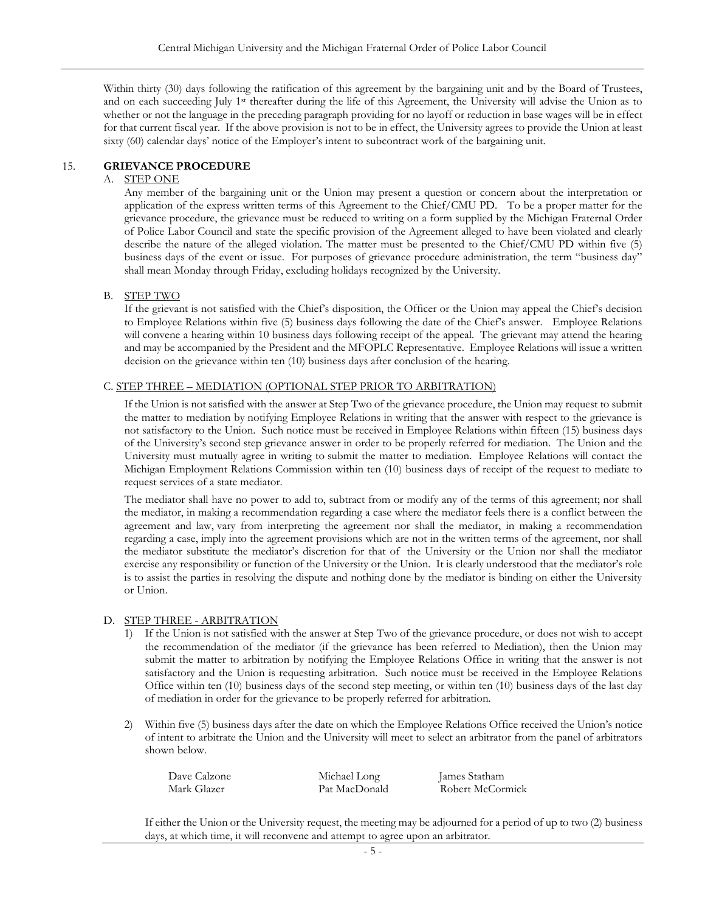Within thirty (30) days following the ratification of this agreement by the bargaining unit and by the Board of Trustees, and on each succeeding July 1<sup>st</sup> thereafter during the life of this Agreement, the University will advise the Union as to whether or not the language in the preceding paragraph providing for no layoff or reduction in base wages will be in effect for that current fiscal year. If the above provision is not to be in effect, the University agrees to provide the Union at least sixty (60) calendar days' notice of the Employer's intent to subcontract work of the bargaining unit.

### <span id="page-8-1"></span><span id="page-8-0"></span>15. **GRIEVANCE PROCEDURE**

#### A. STEP ONE

Any member of the bargaining unit or the Union may present a question or concern about the interpretation or application of the express written terms of this Agreement to the Chief/CMU PD. To be a proper matter for the grievance procedure, the grievance must be reduced to writing on a form supplied by the Michigan Fraternal Order of Police Labor Council and state the specific provision of the Agreement alleged to have been violated and clearly describe the nature of the alleged violation. The matter must be presented to the Chief/CMU PD within five (5) business days of the event or issue. For purposes of grievance procedure administration, the term "business day" shall mean Monday through Friday, excluding holidays recognized by the University.

#### <span id="page-8-2"></span>B. STEP TWO

If the grievant is not satisfied with the Chief's disposition, the Officer or the Union may appeal the Chief's decision to Employee Relations within five (5) business days following the date of the Chief's answer. Employee Relations will convene a hearing within 10 business days following receipt of the appeal. The grievant may attend the hearing and may be accompanied by the President and the MFOPLC Representative. Employee Relations will issue a written decision on the grievance within ten (10) business days after conclusion of the hearing.

### <span id="page-8-3"></span>C. STEP THREE – MEDIATION (OPTIONAL STEP PRIOR TO ARBITRATION)

If the Union is not satisfied with the answer at Step Two of the grievance procedure, the Union may request to submit the matter to mediation by notifying Employee Relations in writing that the answer with respect to the grievance is not satisfactory to the Union. Such notice must be received in Employee Relations within fifteen (15) business days of the University's second step grievance answer in order to be properly referred for mediation. The Union and the University must mutually agree in writing to submit the matter to mediation. Employee Relations will contact the Michigan Employment Relations Commission within ten (10) business days of receipt of the request to mediate to request services of a state mediator.

The mediator shall have no power to add to, subtract from or modify any of the terms of this agreement; nor shall the mediator, in making a recommendation regarding a case where the mediator feels there is a conflict between the agreement and law, vary from interpreting the agreement nor shall the mediator, in making a recommendation regarding a case, imply into the agreement provisions which are not in the written terms of the agreement, nor shall the mediator substitute the mediator's discretion for that of the University or the Union nor shall the mediator exercise any responsibility or function of the University or the Union. It is clearly understood that the mediator's role is to assist the parties in resolving the dispute and nothing done by the mediator is binding on either the University or Union.

### <span id="page-8-4"></span>D. STEP THREE - ARBITRATION

- 1) If the Union is not satisfied with the answer at Step Two of the grievance procedure, or does not wish to accept the recommendation of the mediator (if the grievance has been referred to Mediation), then the Union may submit the matter to arbitration by notifying the Employee Relations Office in writing that the answer is not satisfactory and the Union is requesting arbitration. Such notice must be received in the Employee Relations Office within ten (10) business days of the second step meeting, or within ten (10) business days of the last day of mediation in order for the grievance to be properly referred for arbitration.
- 2) Within five (5) business days after the date on which the Employee Relations Office received the Union's notice of intent to arbitrate the Union and the University will meet to select an arbitrator from the panel of arbitrators shown below.

| Dave Calzone | Michael Long  | James Statham    |
|--------------|---------------|------------------|
| Mark Glazer  | Pat MacDonald | Robert McCormick |

If either the Union or the University request, the meeting may be adjourned for a period of up to two (2) business days, at which time, it will reconvene and attempt to agree upon an arbitrator.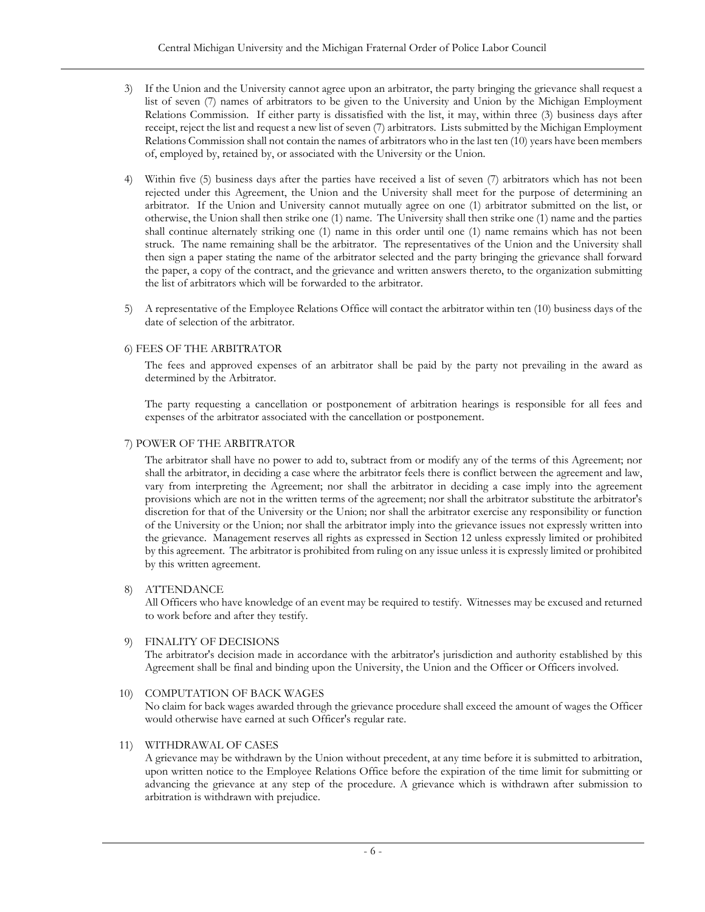- 3) If the Union and the University cannot agree upon an arbitrator, the party bringing the grievance shall request a list of seven (7) names of arbitrators to be given to the University and Union by the Michigan Employment Relations Commission. If either party is dissatisfied with the list, it may, within three (3) business days after receipt, reject the list and request a new list of seven (7) arbitrators. Lists submitted by the Michigan Employment Relations Commission shall not contain the names of arbitrators who in the last ten (10) years have been members of, employed by, retained by, or associated with the University or the Union.
- 4) Within five (5) business days after the parties have received a list of seven (7) arbitrators which has not been rejected under this Agreement, the Union and the University shall meet for the purpose of determining an arbitrator. If the Union and University cannot mutually agree on one (1) arbitrator submitted on the list, or otherwise, the Union shall then strike one (1) name. The University shall then strike one (1) name and the parties shall continue alternately striking one (1) name in this order until one (1) name remains which has not been struck. The name remaining shall be the arbitrator. The representatives of the Union and the University shall then sign a paper stating the name of the arbitrator selected and the party bringing the grievance shall forward the paper, a copy of the contract, and the grievance and written answers thereto, to the organization submitting the list of arbitrators which will be forwarded to the arbitrator.
- 5) A representative of the Employee Relations Office will contact the arbitrator within ten (10) business days of the date of selection of the arbitrator.

### <span id="page-9-0"></span>6) FEES OF THE ARBITRATOR

The fees and approved expenses of an arbitrator shall be paid by the party not prevailing in the award as determined by the Arbitrator.

The party requesting a cancellation or postponement of arbitration hearings is responsible for all fees and expenses of the arbitrator associated with the cancellation or postponement.

### <span id="page-9-1"></span>7) POWER OF THE ARBITRATOR

The arbitrator shall have no power to add to, subtract from or modify any of the terms of this Agreement; nor shall the arbitrator, in deciding a case where the arbitrator feels there is conflict between the agreement and law, vary from interpreting the Agreement; nor shall the arbitrator in deciding a case imply into the agreement provisions which are not in the written terms of the agreement; nor shall the arbitrator substitute the arbitrator's discretion for that of the University or the Union; nor shall the arbitrator exercise any responsibility or function of the University or the Union; nor shall the arbitrator imply into the grievance issues not expressly written into the grievance. Management reserves all rights as expressed in Section 12 unless expressly limited or prohibited by this agreement. The arbitrator is prohibited from ruling on any issue unless it is expressly limited or prohibited by this written agreement.

### 8) ATTENDANCE

All Officers who have knowledge of an event may be required to testify. Witnesses may be excused and returned to work before and after they testify.

### 9) FINALITY OF DECISIONS

The arbitrator's decision made in accordance with the arbitrator's jurisdiction and authority established by this Agreement shall be final and binding upon the University, the Union and the Officer or Officers involved.

### 10) COMPUTATION OF BACK WAGES

No claim for back wages awarded through the grievance procedure shall exceed the amount of wages the Officer would otherwise have earned at such Officer's regular rate.

### 11) WITHDRAWAL OF CASES

A grievance may be withdrawn by the Union without precedent, at any time before it is submitted to arbitration, upon written notice to the Employee Relations Office before the expiration of the time limit for submitting or advancing the grievance at any step of the procedure. A grievance which is withdrawn after submission to arbitration is withdrawn with prejudice.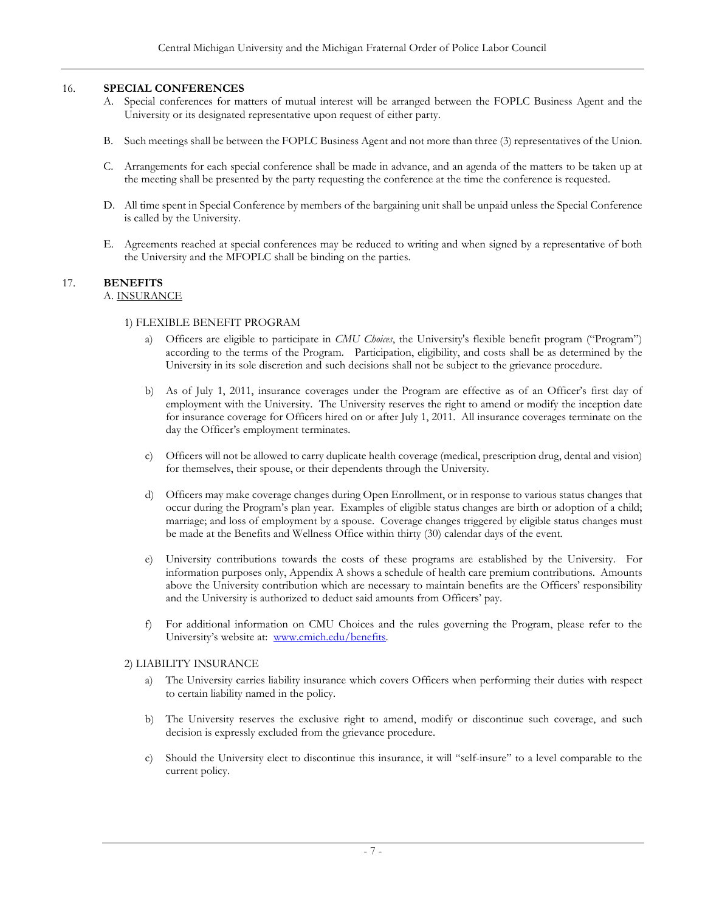### <span id="page-10-0"></span>16. **SPECIAL CONFERENCES**

- A. Special conferences for matters of mutual interest will be arranged between the FOPLC Business Agent and the University or its designated representative upon request of either party.
- B. Such meetings shall be between the FOPLC Business Agent and not more than three (3) representatives of the Union.
- C. Arrangements for each special conference shall be made in advance, and an agenda of the matters to be taken up at the meeting shall be presented by the party requesting the conference at the time the conference is requested.
- D. All time spent in Special Conference by members of the bargaining unit shall be unpaid unless the Special Conference is called by the University.
- E. Agreements reached at special conferences may be reduced to writing and when signed by a representative of both the University and the MFOPLC shall be binding on the parties.

#### <span id="page-10-3"></span><span id="page-10-2"></span><span id="page-10-1"></span>17. **BENEFITS** A. INSURANCE

### 1) FLEXIBLE BENEFIT PROGRAM

- a) Officers are eligible to participate in *CMU Choices*, the University's flexible benefit program ("Program") according to the terms of the Program. Participation, eligibility, and costs shall be as determined by the University in its sole discretion and such decisions shall not be subject to the grievance procedure.
- b) As of July 1, 2011, insurance coverages under the Program are effective as of an Officer's first day of employment with the University. The University reserves the right to amend or modify the inception date for insurance coverage for Officers hired on or after July 1, 2011. All insurance coverages terminate on the day the Officer's employment terminates.
- c) Officers will not be allowed to carry duplicate health coverage (medical, prescription drug, dental and vision) for themselves, their spouse, or their dependents through the University.
- d) Officers may make coverage changes during Open Enrollment, or in response to various status changes that occur during the Program's plan year. Examples of eligible status changes are birth or adoption of a child; marriage; and loss of employment by a spouse. Coverage changes triggered by eligible status changes must be made at the Benefits and Wellness Office within thirty (30) calendar days of the event.
- e) University contributions towards the costs of these programs are established by the University. For information purposes only, Appendix A shows a schedule of health care premium contributions. Amounts above the University contribution which are necessary to maintain benefits are the Officers' responsibility and the University is authorized to deduct said amounts from Officers' pay.
- f) For additional information on CMU Choices and the rules governing the Program, please refer to the University's website at: [www.cmich.edu/benefits.](http://www.cmich.edu/benefits)

### <span id="page-10-4"></span>2) LIABILITY INSURANCE

- a) The University carries liability insurance which covers Officers when performing their duties with respect to certain liability named in the policy.
- b) The University reserves the exclusive right to amend, modify or discontinue such coverage, and such decision is expressly excluded from the grievance procedure.
- c) Should the University elect to discontinue this insurance, it will "self-insure" to a level comparable to the current policy.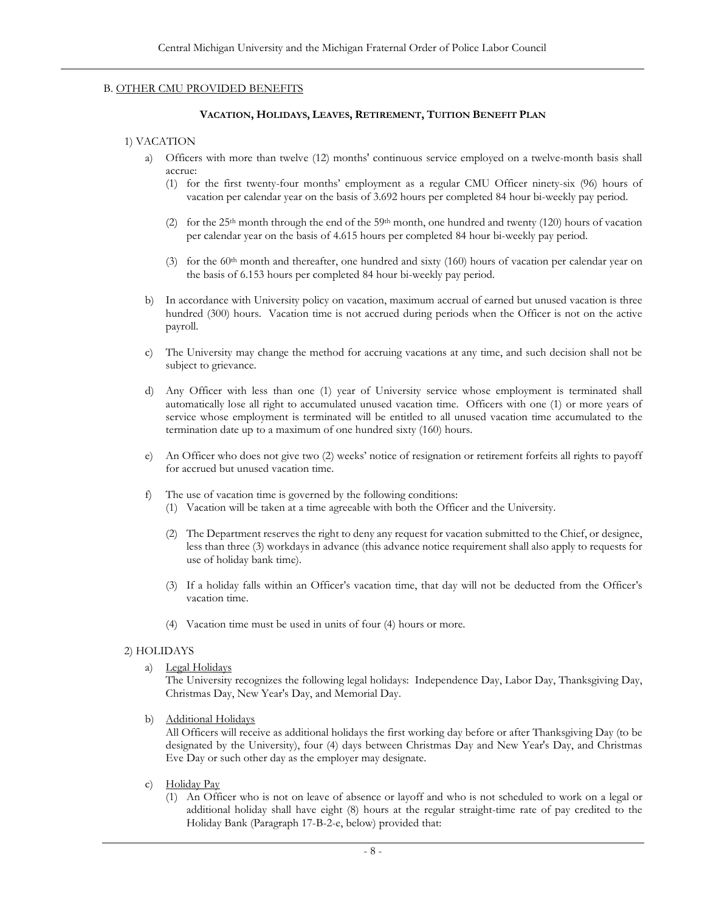### <span id="page-11-1"></span><span id="page-11-0"></span>B. OTHER CMU PROVIDED BENEFITS

### **VACATION, HOLIDAYS, LEAVES, RETIREMENT, TUITION BENEFIT PLAN**

### 1) VACATION

- a) Officers with more than twelve (12) months' continuous service employed on a twelve-month basis shall accrue:
	- (1) for the first twenty-four months' employment as a regular CMU Officer ninety-six (96) hours of vacation per calendar year on the basis of 3.692 hours per completed 84 hour bi-weekly pay period.
	- (2) for the 25<sup>th</sup> month through the end of the 59<sup>th</sup> month, one hundred and twenty (120) hours of vacation per calendar year on the basis of 4.615 hours per completed 84 hour bi-weekly pay period.
	- (3) for the  $60<sup>th</sup>$  month and thereafter, one hundred and sixty (160) hours of vacation per calendar year on the basis of 6.153 hours per completed 84 hour bi-weekly pay period.
- b) In accordance with University policy on vacation, maximum accrual of earned but unused vacation is three hundred (300) hours. Vacation time is not accrued during periods when the Officer is not on the active payroll.
- c) The University may change the method for accruing vacations at any time, and such decision shall not be subject to grievance.
- d) Any Officer with less than one (1) year of University service whose employment is terminated shall automatically lose all right to accumulated unused vacation time. Officers with one (1) or more years of service whose employment is terminated will be entitled to all unused vacation time accumulated to the termination date up to a maximum of one hundred sixty (160) hours.
- e) An Officer who does not give two (2) weeks' notice of resignation or retirement forfeits all rights to payoff for accrued but unused vacation time.
- f) The use of vacation time is governed by the following conditions: (1) Vacation will be taken at a time agreeable with both the Officer and the University.
	- (2) The Department reserves the right to deny any request for vacation submitted to the Chief, or designee, less than three (3) workdays in advance (this advance notice requirement shall also apply to requests for use of holiday bank time).
	- (3) If a holiday falls within an Officer's vacation time, that day will not be deducted from the Officer's vacation time.
	- (4) Vacation time must be used in units of four (4) hours or more.

### <span id="page-11-2"></span>2) HOLIDAYS

a) Legal Holidays

The University recognizes the following legal holidays: Independence Day, Labor Day, Thanksgiving Day, Christmas Day, New Year's Day, and Memorial Day.

b) Additional Holidays

All Officers will receive as additional holidays the first working day before or after Thanksgiving Day (to be designated by the University), four (4) days between Christmas Day and New Year's Day, and Christmas Eve Day or such other day as the employer may designate.

- c) Holiday Pay
	- (1) An Officer who is not on leave of absence or layoff and who is not scheduled to work on a legal or additional holiday shall have eight (8) hours at the regular straight-time rate of pay credited to the Holiday Bank (Paragraph 17-B-2-e, below) provided that: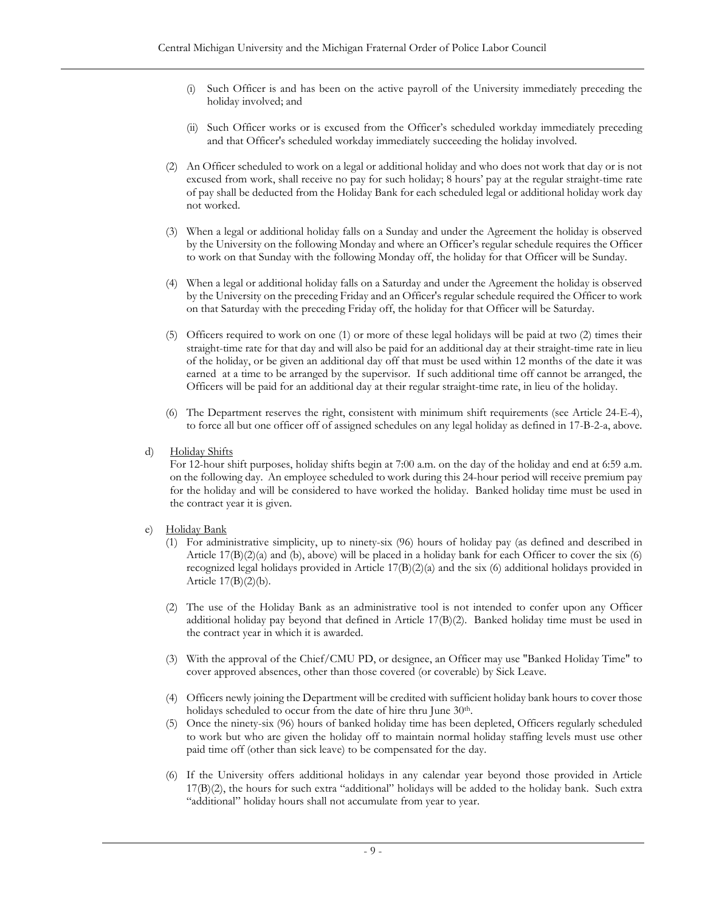- (i) Such Officer is and has been on the active payroll of the University immediately preceding the holiday involved; and
- (ii) Such Officer works or is excused from the Officer's scheduled workday immediately preceding and that Officer's scheduled workday immediately succeeding the holiday involved.
- (2) An Officer scheduled to work on a legal or additional holiday and who does not work that day or is not excused from work, shall receive no pay for such holiday; 8 hours' pay at the regular straight-time rate of pay shall be deducted from the Holiday Bank for each scheduled legal or additional holiday work day not worked.
- (3) When a legal or additional holiday falls on a Sunday and under the Agreement the holiday is observed by the University on the following Monday and where an Officer's regular schedule requires the Officer to work on that Sunday with the following Monday off, the holiday for that Officer will be Sunday.
- (4) When a legal or additional holiday falls on a Saturday and under the Agreement the holiday is observed by the University on the preceding Friday and an Officer's regular schedule required the Officer to work on that Saturday with the preceding Friday off, the holiday for that Officer will be Saturday.
- (5) Officers required to work on one (1) or more of these legal holidays will be paid at two (2) times their straight-time rate for that day and will also be paid for an additional day at their straight-time rate in lieu of the holiday, or be given an additional day off that must be used within 12 months of the date it was earned at a time to be arranged by the supervisor. If such additional time off cannot be arranged, the Officers will be paid for an additional day at their regular straight-time rate, in lieu of the holiday.
- (6) The Department reserves the right, consistent with minimum shift requirements (see Article 24-E-4), to force all but one officer off of assigned schedules on any legal holiday as defined in 17-B-2-a, above.
- d) Holiday Shifts

For 12-hour shift purposes, holiday shifts begin at 7:00 a.m. on the day of the holiday and end at 6:59 a.m. on the following day. An employee scheduled to work during this 24-hour period will receive premium pay for the holiday and will be considered to have worked the holiday. Banked holiday time must be used in the contract year it is given.

- e) Holiday Bank
	- (1) For administrative simplicity, up to ninety-six (96) hours of holiday pay (as defined and described in Article  $17(B)(2)(a)$  and (b), above) will be placed in a holiday bank for each Officer to cover the six (6) recognized legal holidays provided in Article 17(B)(2)(a) and the six (6) additional holidays provided in Article 17(B)(2)(b).
	- (2) The use of the Holiday Bank as an administrative tool is not intended to confer upon any Officer additional holiday pay beyond that defined in Article 17(B)(2). Banked holiday time must be used in the contract year in which it is awarded.
	- (3) With the approval of the Chief/CMU PD, or designee, an Officer may use "Banked Holiday Time" to cover approved absences, other than those covered (or coverable) by Sick Leave.
	- (4) Officers newly joining the Department will be credited with sufficient holiday bank hours to cover those holidays scheduled to occur from the date of hire thru June 30<sup>th</sup>.
	- (5) Once the ninety-six (96) hours of banked holiday time has been depleted, Officers regularly scheduled to work but who are given the holiday off to maintain normal holiday staffing levels must use other paid time off (other than sick leave) to be compensated for the day.
	- (6) If the University offers additional holidays in any calendar year beyond those provided in Article 17(B)(2), the hours for such extra "additional" holidays will be added to the holiday bank. Such extra "additional" holiday hours shall not accumulate from year to year.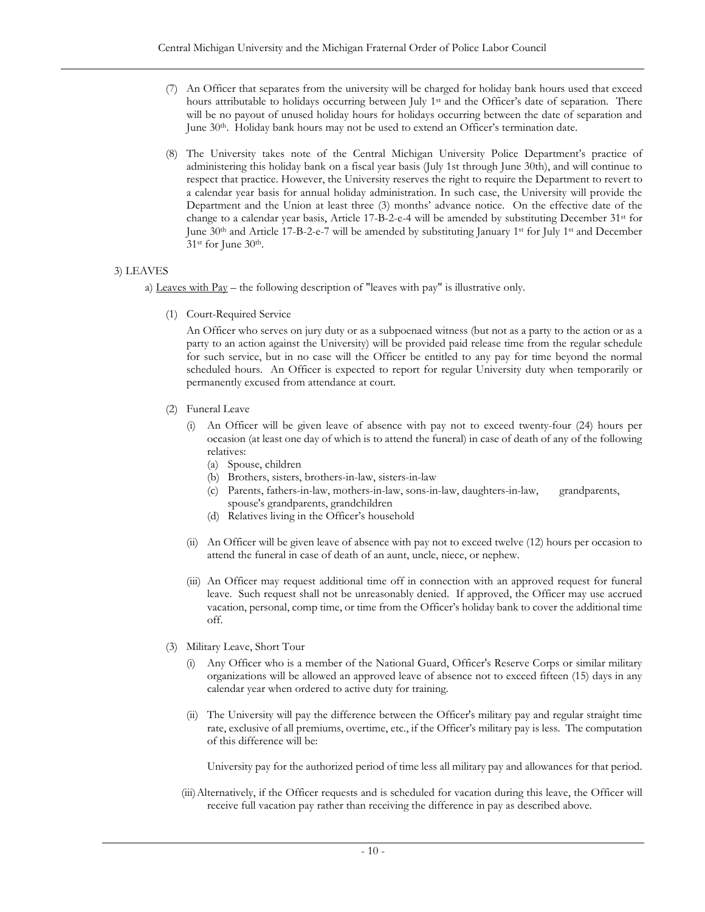- (7) An Officer that separates from the university will be charged for holiday bank hours used that exceed hours attributable to holidays occurring between July 1<sup>st</sup> and the Officer's date of separation. There will be no payout of unused holiday hours for holidays occurring between the date of separation and June 30<sup>th</sup>. Holiday bank hours may not be used to extend an Officer's termination date.
- (8) The University takes note of the Central Michigan University Police Department's practice of administering this holiday bank on a fiscal year basis (July 1st through June 30th), and will continue to respect that practice. However, the University reserves the right to require the Department to revert to a calendar year basis for annual holiday administration. In such case, the University will provide the Department and the Union at least three (3) months' advance notice. On the effective date of the change to a calendar year basis, Article 17-B-2-e-4 will be amended by substituting December 31<sup>st</sup> for June 30th and Article 17-B-2-e-7 will be amended by substituting January 1st for July 1st and December 31st for June 30th.

# <span id="page-13-0"></span>3) LEAVES

a) Leaves with Pay – the following description of "leaves with pay" is illustrative only.

(1) Court-Required Service

An Officer who serves on jury duty or as a subpoenaed witness (but not as a party to the action or as a party to an action against the University) will be provided paid release time from the regular schedule for such service, but in no case will the Officer be entitled to any pay for time beyond the normal scheduled hours. An Officer is expected to report for regular University duty when temporarily or permanently excused from attendance at court.

- (2) Funeral Leave
	- (i) An Officer will be given leave of absence with pay not to exceed twenty-four (24) hours per occasion (at least one day of which is to attend the funeral) in case of death of any of the following relatives:
		- (a) Spouse, children
		- (b) Brothers, sisters, brothers-in-law, sisters-in-law
		- (c) Parents, fathers-in-law, mothers-in-law, sons-in-law, daughters-in-law, grandparents, spouse's grandparents, grandchildren
		- (d) Relatives living in the Officer's household
	- (ii) An Officer will be given leave of absence with pay not to exceed twelve (12) hours per occasion to attend the funeral in case of death of an aunt, uncle, niece, or nephew.
	- (iii) An Officer may request additional time off in connection with an approved request for funeral leave. Such request shall not be unreasonably denied. If approved, the Officer may use accrued vacation, personal, comp time, or time from the Officer's holiday bank to cover the additional time off.
- (3) Military Leave, Short Tour
	- (i) Any Officer who is a member of the National Guard, Officer's Reserve Corps or similar military organizations will be allowed an approved leave of absence not to exceed fifteen (15) days in any calendar year when ordered to active duty for training.
	- (ii) The University will pay the difference between the Officer's military pay and regular straight time rate, exclusive of all premiums, overtime, etc., if the Officer's military pay is less. The computation of this difference will be:

University pay for the authorized period of time less all military pay and allowances for that period.

(iii)Alternatively, if the Officer requests and is scheduled for vacation during this leave, the Officer will receive full vacation pay rather than receiving the difference in pay as described above.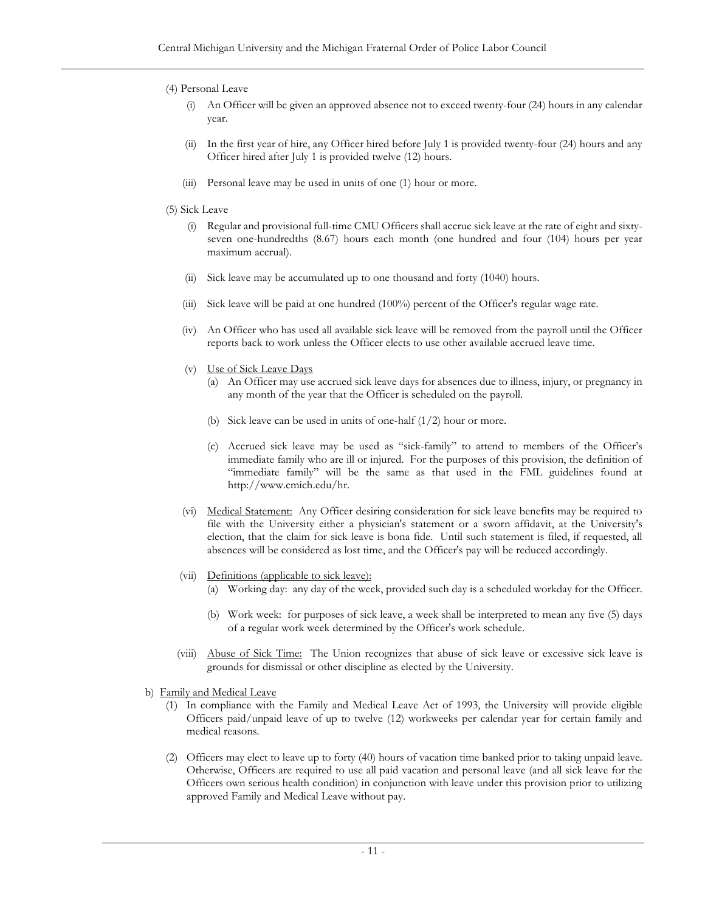### (4) Personal Leave

- (i) An Officer will be given an approved absence not to exceed twenty-four (24) hours in any calendar year.
- (ii) In the first year of hire, any Officer hired before July 1 is provided twenty-four (24) hours and any Officer hired after July 1 is provided twelve (12) hours.
- (iii) Personal leave may be used in units of one (1) hour or more.

### (5) Sick Leave

- (i) Regular and provisional full-time CMU Officers shall accrue sick leave at the rate of eight and sixtyseven one-hundredths (8.67) hours each month (one hundred and four (104) hours per year maximum accrual).
- (ii) Sick leave may be accumulated up to one thousand and forty (1040) hours.
- (iii) Sick leave will be paid at one hundred (100%) percent of the Officer's regular wage rate.
- (iv) An Officer who has used all available sick leave will be removed from the payroll until the Officer reports back to work unless the Officer elects to use other available accrued leave time.
- (v) Use of Sick Leave Days
	- (a) An Officer may use accrued sick leave days for absences due to illness, injury, or pregnancy in any month of the year that the Officer is scheduled on the payroll.
	- (b) Sick leave can be used in units of one-half (1/2) hour or more.
	- (c) Accrued sick leave may be used as "sick-family" to attend to members of the Officer's immediate family who are ill or injured. For the purposes of this provision, the definition of "immediate family" will be the same as that used in the FML guidelines found at [http://www.cmich.edu/hr.](http://www.cmich.edu/hr)
- (vi) Medical Statement: Any Officer desiring consideration for sick leave benefits may be required to file with the University either a physician's statement or a sworn affidavit, at the University's election, that the claim for sick leave is bona fide. Until such statement is filed, if requested, all absences will be considered as lost time, and the Officer's pay will be reduced accordingly.
- (vii) Definitions (applicable to sick leave):
	- (a) Working day: any day of the week, provided such day is a scheduled workday for the Officer.
	- (b) Work week: for purposes of sick leave, a week shall be interpreted to mean any five (5) days of a regular work week determined by the Officer's work schedule.
- (viii) Abuse of Sick Time: The Union recognizes that abuse of sick leave or excessive sick leave is grounds for dismissal or other discipline as elected by the University.
- b) Family and Medical Leave
	- (1) In compliance with the Family and Medical Leave Act of 1993, the University will provide eligible Officers paid/unpaid leave of up to twelve (12) workweeks per calendar year for certain family and medical reasons.
	- (2) Officers may elect to leave up to forty (40) hours of vacation time banked prior to taking unpaid leave. Otherwise, Officers are required to use all paid vacation and personal leave (and all sick leave for the Officers own serious health condition) in conjunction with leave under this provision prior to utilizing approved Family and Medical Leave without pay.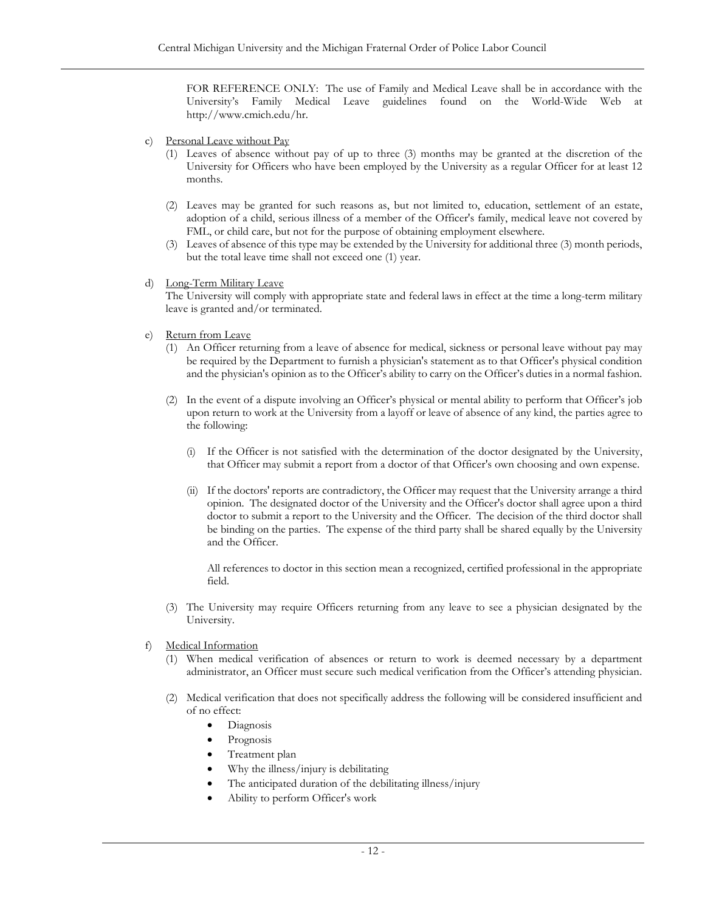FOR REFERENCE ONLY: The use of Family and Medical Leave shall be in accordance with the University's Family Medical Leave guidelines found on the World-Wide Web at [http://www.cmich.edu/hr.](http://www.cmich.edu/hr)

- c) Personal Leave without Pay
	- (1) Leaves of absence without pay of up to three (3) months may be granted at the discretion of the University for Officers who have been employed by the University as a regular Officer for at least 12 months.
	- (2) Leaves may be granted for such reasons as, but not limited to, education, settlement of an estate, adoption of a child, serious illness of a member of the Officer's family, medical leave not covered by FML, or child care, but not for the purpose of obtaining employment elsewhere.
	- (3) Leaves of absence of this type may be extended by the University for additional three (3) month periods, but the total leave time shall not exceed one (1) year.
- d) Long-Term Military Leave

The University will comply with appropriate state and federal laws in effect at the time a long-term military leave is granted and/or terminated.

- e) Return from Leave
	- (1) An Officer returning from a leave of absence for medical, sickness or personal leave without pay may be required by the Department to furnish a physician's statement as to that Officer's physical condition and the physician's opinion as to the Officer's ability to carry on the Officer's duties in a normal fashion.
	- (2) In the event of a dispute involving an Officer's physical or mental ability to perform that Officer's job upon return to work at the University from a layoff or leave of absence of any kind, the parties agree to the following:
		- (i) If the Officer is not satisfied with the determination of the doctor designated by the University, that Officer may submit a report from a doctor of that Officer's own choosing and own expense.
		- (ii) If the doctors' reports are contradictory, the Officer may request that the University arrange a third opinion. The designated doctor of the University and the Officer's doctor shall agree upon a third doctor to submit a report to the University and the Officer. The decision of the third doctor shall be binding on the parties. The expense of the third party shall be shared equally by the University and the Officer.

All references to doctor in this section mean a recognized, certified professional in the appropriate field.

- (3) The University may require Officers returning from any leave to see a physician designated by the University.
- f) Medical Information
	- (1) When medical verification of absences or return to work is deemed necessary by a department administrator, an Officer must secure such medical verification from the Officer's attending physician.
	- (2) Medical verification that does not specifically address the following will be considered insufficient and of no effect:
		- Diagnosis
		- **Prognosis**
		- Treatment plan
		- Why the illness/injury is debilitating
		- The anticipated duration of the debilitating illness/injury
		- Ability to perform Officer's work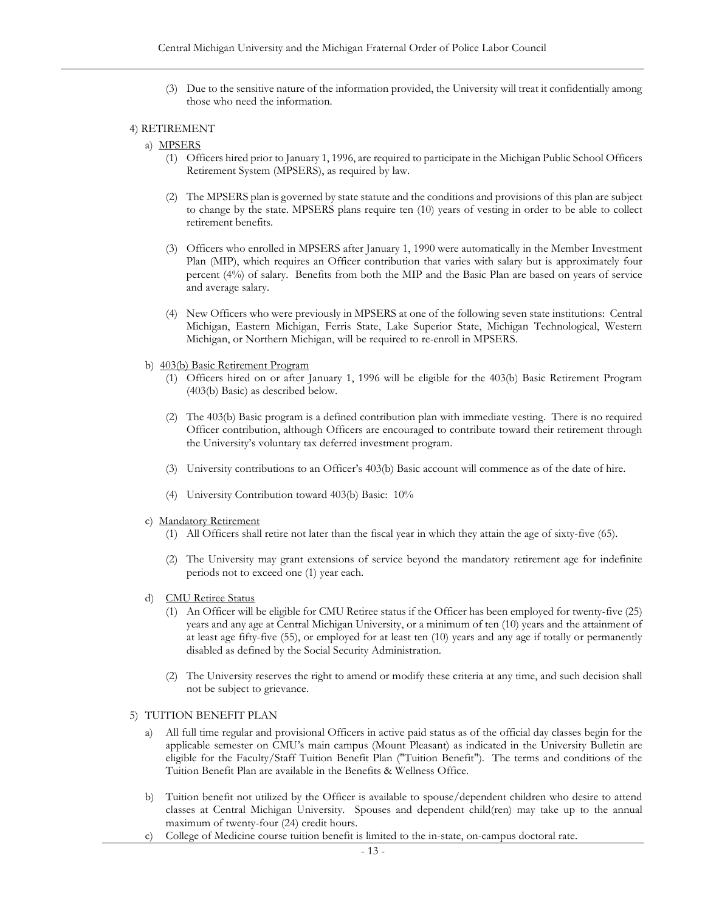(3) Due to the sensitive nature of the information provided, the University will treat it confidentially among those who need the information.

#### <span id="page-16-0"></span>4) RETIREMENT

#### a) MPSERS

- (1) Officers hired prior to January 1, 1996, are required to participate in the Michigan Public School Officers Retirement System (MPSERS), as required by law.
- (2) The MPSERS plan is governed by state statute and the conditions and provisions of this plan are subject to change by the state. MPSERS plans require ten (10) years of vesting in order to be able to collect retirement benefits.
- (3) Officers who enrolled in MPSERS after January 1, 1990 were automatically in the Member Investment Plan (MIP), which requires an Officer contribution that varies with salary but is approximately four percent (4%) of salary. Benefits from both the MIP and the Basic Plan are based on years of service and average salary.
- (4) New Officers who were previously in MPSERS at one of the following seven state institutions: Central Michigan, Eastern Michigan, Ferris State, Lake Superior State, Michigan Technological, Western Michigan, or Northern Michigan, will be required to re-enroll in MPSERS.
- b) 403(b) Basic Retirement Program
	- (1) Officers hired on or after January 1, 1996 will be eligible for the 403(b) Basic Retirement Program (403(b) Basic) as described below.
	- (2) The 403(b) Basic program is a defined contribution plan with immediate vesting. There is no required Officer contribution, although Officers are encouraged to contribute toward their retirement through the University's voluntary tax deferred investment program.
	- (3) University contributions to an Officer's 403(b) Basic account will commence as of the date of hire.
	- (4) University Contribution toward 403(b) Basic: 10%
- c) Mandatory Retirement
	- (1) All Officers shall retire not later than the fiscal year in which they attain the age of sixty-five (65).
	- (2) The University may grant extensions of service beyond the mandatory retirement age for indefinite periods not to exceed one (1) year each.
- d) CMU Retiree Status
	- (1) An Officer will be eligible for CMU Retiree status if the Officer has been employed for twenty-five (25) years and any age at Central Michigan University, or a minimum of ten (10) years and the attainment of at least age fifty-five (55), or employed for at least ten (10) years and any age if totally or permanently disabled as defined by the Social Security Administration.
	- (2) The University reserves the right to amend or modify these criteria at any time, and such decision shall not be subject to grievance.

### <span id="page-16-1"></span>5) TUITION BENEFIT PLAN

- a) All full time regular and provisional Officers in active paid status as of the official day classes begin for the applicable semester on CMU's main campus (Mount Pleasant) as indicated in the University Bulletin are eligible for the Faculty/Staff Tuition Benefit Plan ("Tuition Benefit"). The terms and conditions of the Tuition Benefit Plan are available in the Benefits & Wellness Office.
- b) Tuition benefit not utilized by the Officer is available to spouse/dependent children who desire to attend classes at Central Michigan University. Spouses and dependent child(ren) may take up to the annual maximum of twenty-four (24) credit hours.
- c) College of Medicine course tuition benefit is limited to the in-state, on-campus doctoral rate.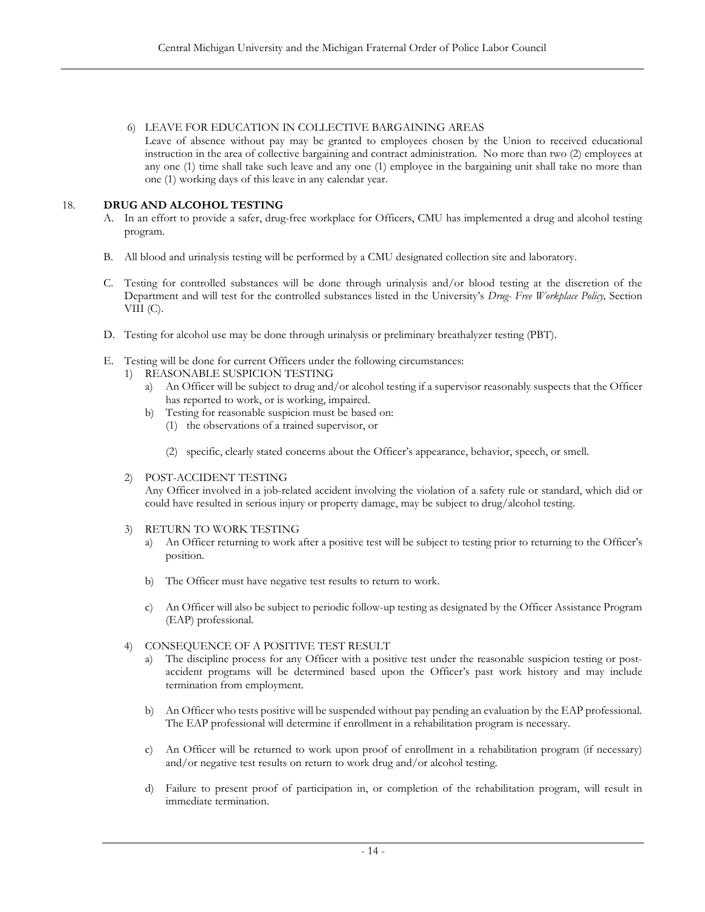# 6) LEAVE FOR EDUCATION IN COLLECTIVE BARGAINING AREAS

Leave of absence without pay may be granted to employees chosen by the Union to received educational instruction in the area of collective bargaining and contract administration. No more than two (2) employees at any one (1) time shall take such leave and any one (1) employee in the bargaining unit shall take no more than one (1) working days of this leave in any calendar year.

# <span id="page-17-0"></span>18. **DRUG AND ALCOHOL TESTING**

- A. In an effort to provide a safer, drug-free workplace for Officers, CMU has implemented a drug and alcohol testing program.
- B. All blood and urinalysis testing will be performed by a CMU designated collection site and laboratory.
- C. Testing for controlled substances will be done through urinalysis and/or blood testing at the discretion of the Department and will test for the controlled substances listed in the University's *Drug- Free Workplace Policy,* Section VIII (C).
- D. Testing for alcohol use may be done through urinalysis or preliminary breathalyzer testing (PBT).
- E. Testing will be done for current Officers under the following circumstances:
	- 1) REASONABLE SUSPICION TESTING
		- a) An Officer will be subject to drug and/or alcohol testing if a supervisor reasonably suspects that the Officer has reported to work, or is working, impaired.
		- b) Testing for reasonable suspicion must be based on:
			- (1) the observations of a trained supervisor, or
			- (2) specific, clearly stated concerns about the Officer's appearance, behavior, speech, or smell.

# 2) POST-ACCIDENT TESTING

Any Officer involved in a job-related accident involving the violation of a safety rule or standard, which did or could have resulted in serious injury or property damage, may be subject to drug/alcohol testing.

- 3) RETURN TO WORK TESTING
	- a) An Officer returning to work after a positive test will be subject to testing prior to returning to the Officer's position.
	- b) The Officer must have negative test results to return to work.
	- c) An Officer will also be subject to periodic follow-up testing as designated by the Officer Assistance Program (EAP) professional.
- 4) CONSEQUENCE OF A POSITIVE TEST RESULT
	- a) The discipline process for any Officer with a positive test under the reasonable suspicion testing or postaccident programs will be determined based upon the Officer's past work history and may include termination from employment.
	- b) An Officer who tests positive will be suspended without pay pending an evaluation by the EAP professional. The EAP professional will determine if enrollment in a rehabilitation program is necessary.
	- c) An Officer will be returned to work upon proof of enrollment in a rehabilitation program (if necessary) and/or negative test results on return to work drug and/or alcohol testing.
	- d) Failure to present proof of participation in, or completion of the rehabilitation program, will result in immediate termination.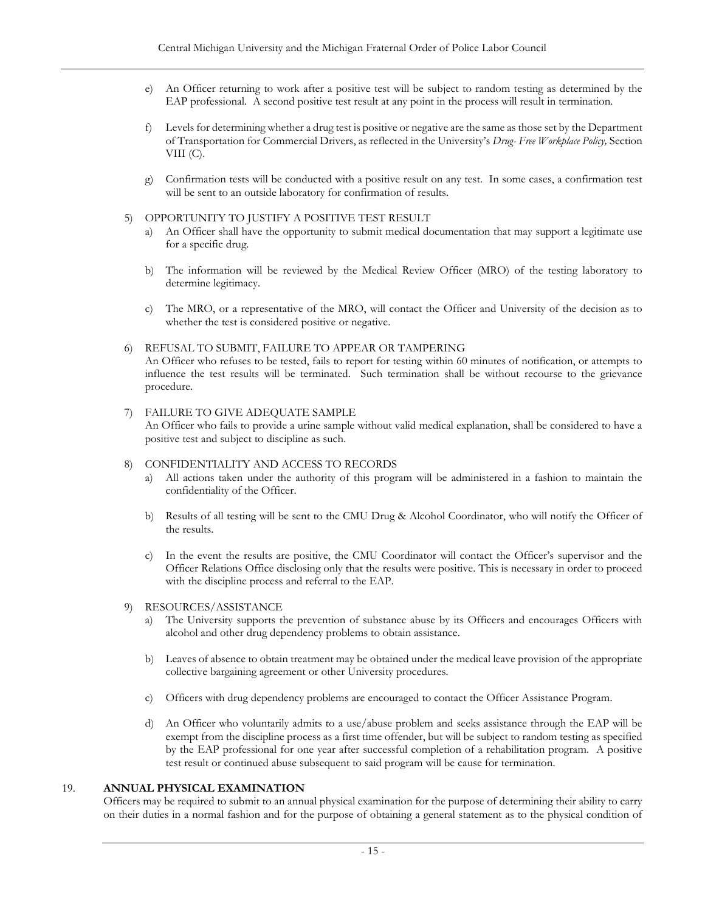- e) An Officer returning to work after a positive test will be subject to random testing as determined by the EAP professional. A second positive test result at any point in the process will result in termination.
- f) Levels for determining whether a drug test is positive or negative are the same as those set by the Department of Transportation for Commercial Drivers, as reflected in the University's *Drug- Free Workplace Policy,* Section VIII $(C)$ .
- g) Confirmation tests will be conducted with a positive result on any test. In some cases, a confirmation test will be sent to an outside laboratory for confirmation of results.
- 5) OPPORTUNITY TO JUSTIFY A POSITIVE TEST RESULT
	- a) An Officer shall have the opportunity to submit medical documentation that may support a legitimate use for a specific drug.
	- b) The information will be reviewed by the Medical Review Officer (MRO) of the testing laboratory to determine legitimacy.
	- c) The MRO, or a representative of the MRO, will contact the Officer and University of the decision as to whether the test is considered positive or negative.
- 6) REFUSAL TO SUBMIT, FAILURE TO APPEAR OR TAMPERING An Officer who refuses to be tested, fails to report for testing within 60 minutes of notification, or attempts to influence the test results will be terminated. Such termination shall be without recourse to the grievance procedure.
- 7) FAILURE TO GIVE ADEQUATE SAMPLE An Officer who fails to provide a urine sample without valid medical explanation, shall be considered to have a positive test and subject to discipline as such.

### 8) CONFIDENTIALITY AND ACCESS TO RECORDS

- a) All actions taken under the authority of this program will be administered in a fashion to maintain the confidentiality of the Officer.
- b) Results of all testing will be sent to the CMU Drug & Alcohol Coordinator, who will notify the Officer of the results.
- c) In the event the results are positive, the CMU Coordinator will contact the Officer's supervisor and the Officer Relations Office disclosing only that the results were positive. This is necessary in order to proceed with the discipline process and referral to the EAP.
- 9) RESOURCES/ASSISTANCE
	- a) The University supports the prevention of substance abuse by its Officers and encourages Officers with alcohol and other drug dependency problems to obtain assistance.
	- b) Leaves of absence to obtain treatment may be obtained under the medical leave provision of the appropriate collective bargaining agreement or other University procedures.
	- c) Officers with drug dependency problems are encouraged to contact the Officer Assistance Program.
	- d) An Officer who voluntarily admits to a use/abuse problem and seeks assistance through the EAP will be exempt from the discipline process as a first time offender, but will be subject to random testing as specified by the EAP professional for one year after successful completion of a rehabilitation program. A positive test result or continued abuse subsequent to said program will be cause for termination.

#### <span id="page-18-0"></span>19. **ANNUAL PHYSICAL EXAMINATION**

Officers may be required to submit to an annual physical examination for the purpose of determining their ability to carry on their duties in a normal fashion and for the purpose of obtaining a general statement as to the physical condition of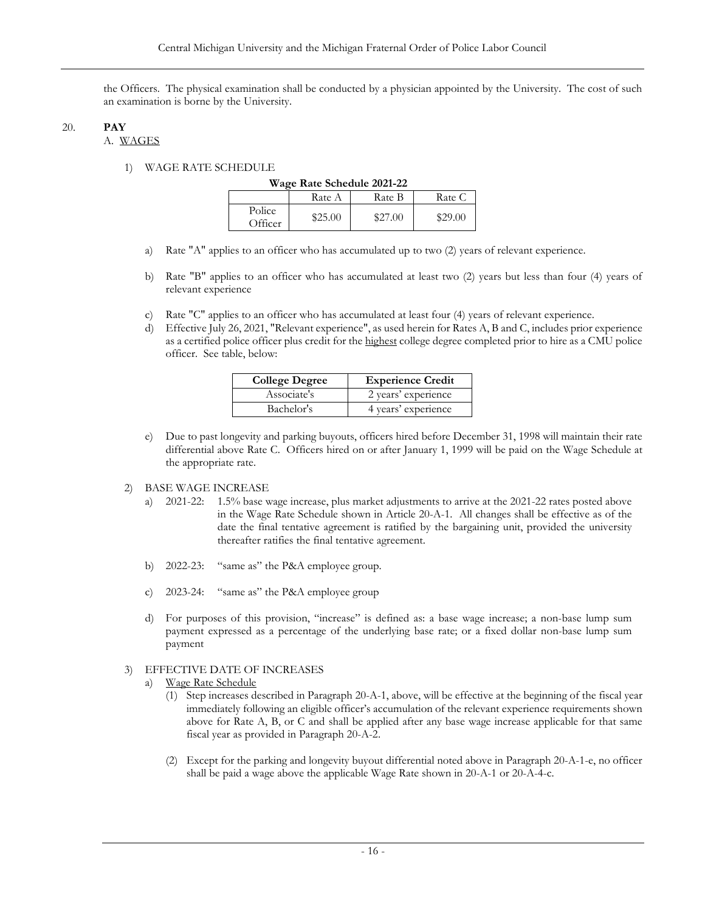the Officers. The physical examination shall be conducted by a physician appointed by the University. The cost of such an examination is borne by the University.

#### <span id="page-19-2"></span><span id="page-19-1"></span><span id="page-19-0"></span>20. **PAY**  A. WAGES

#### 1) WAGE RATE SCHEDULE

|                   | Wage Rate Schedule 2021-22 |         |         |  |  |
|-------------------|----------------------------|---------|---------|--|--|
|                   | Rate A                     | Rate B  | Rate C  |  |  |
| Police<br>Officer | \$25.00                    | \$27.00 | \$29.00 |  |  |

- a) Rate "A" applies to an officer who has accumulated up to two (2) years of relevant experience.
- b) Rate "B" applies to an officer who has accumulated at least two (2) years but less than four (4) years of relevant experience
- c) Rate "C" applies to an officer who has accumulated at least four (4) years of relevant experience.
- d) Effective July 26, 2021, "Relevant experience", as used herein for Rates A, B and C, includes prior experience as a certified police officer plus credit for the highest college degree completed prior to hire as a CMU police officer. See table, below:

| <b>College Degree</b> | <b>Experience Credit</b> |
|-----------------------|--------------------------|
| Associate's           | 2 years' experience      |
| Bachelor's            | 4 years' experience      |

e) Due to past longevity and parking buyouts, officers hired before December 31, 1998 will maintain their rate differential above Rate C. Officers hired on or after January 1, 1999 will be paid on the Wage Schedule at the appropriate rate.

### 2) BASE WAGE INCREASE

- a) 2021-22: 1.5% base wage increase, plus market adjustments to arrive at the 2021-22 rates posted above in the Wage Rate Schedule shown in Article 20-A-1. All changes shall be effective as of the date the final tentative agreement is ratified by the bargaining unit, provided the university thereafter ratifies the final tentative agreement.
- b) 2022-23: "same as" the P&A employee group.
- c) 2023-24: "same as" the P&A employee group
- d) For purposes of this provision, "increase" is defined as: a base wage increase; a non-base lump sum payment expressed as a percentage of the underlying base rate; or a fixed dollar non-base lump sum payment

### 3) EFFECTIVE DATE OF INCREASES

- a) Wage Rate Schedule
	- (1) Step increases described in Paragraph 20-A-1, above, will be effective at the beginning of the fiscal year immediately following an eligible officer's accumulation of the relevant experience requirements shown above for Rate A, B, or C and shall be applied after any base wage increase applicable for that same fiscal year as provided in Paragraph 20-A-2.
	- (2) Except for the parking and longevity buyout differential noted above in Paragraph 20-A-1-e, no officer shall be paid a wage above the applicable Wage Rate shown in 20-A-1 or 20-A-4-c.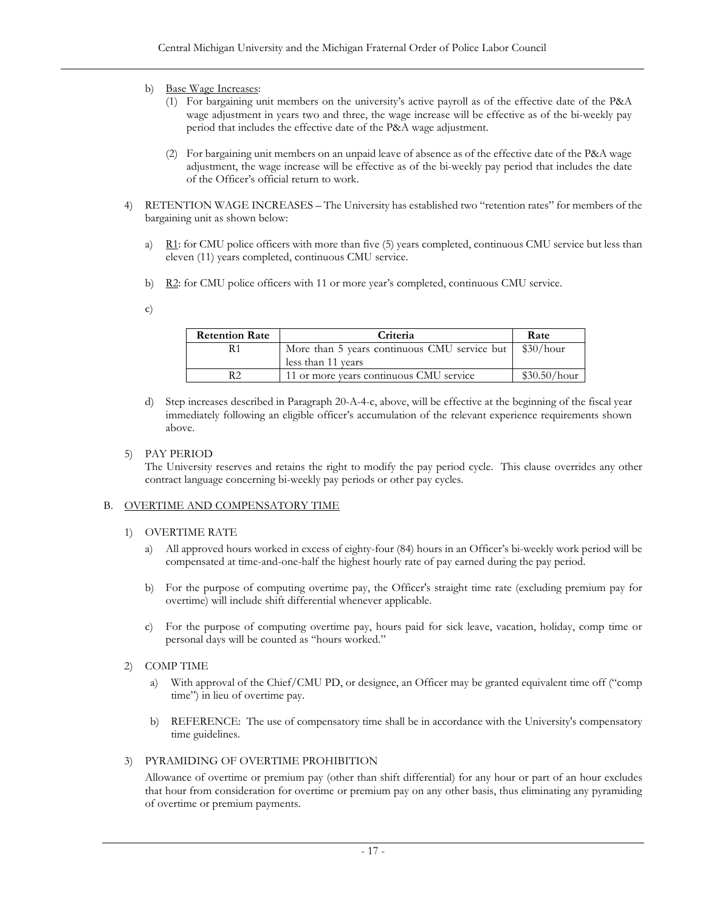- b) Base Wage Increases:
	- (1) For bargaining unit members on the university's active payroll as of the effective date of the P&A wage adjustment in years two and three, the wage increase will be effective as of the bi-weekly pay period that includes the effective date of the P&A wage adjustment.
	- (2) For bargaining unit members on an unpaid leave of absence as of the effective date of the P&A wage adjustment, the wage increase will be effective as of the bi-weekly pay period that includes the date of the Officer's official return to work.
- 4) RETENTION WAGE INCREASES The University has established two "retention rates" for members of the bargaining unit as shown below:
	- a) R1: for CMU police officers with more than five (5) years completed, continuous CMU service but less than eleven (11) years completed, continuous CMU service.
	- b) R2: for CMU police officers with 11 or more year's completed, continuous CMU service.

c)

| <b>Retention Rate</b><br>Criteria |                                              | Rate         |
|-----------------------------------|----------------------------------------------|--------------|
| R1                                | More than 5 years continuous CMU service but | \$30/hour    |
|                                   | less than 11 years                           |              |
| R <sub>2</sub>                    | 11 or more years continuous CMU service      | \$30.50/hour |

d) Step increases described in Paragraph 20-A-4-c, above, will be effective at the beginning of the fiscal year immediately following an eligible officer's accumulation of the relevant experience requirements shown above.

### 5) PAY PERIOD

The University reserves and retains the right to modify the pay period cycle. This clause overrides any other contract language concerning bi-weekly pay periods or other pay cycles.

### <span id="page-20-1"></span><span id="page-20-0"></span>B. OVERTIME AND COMPENSATORY TIME

### 1) OVERTIME RATE

- a) All approved hours worked in excess of eighty-four (84) hours in an Officer's bi-weekly work period will be compensated at time-and-one-half the highest hourly rate of pay earned during the pay period.
- b) For the purpose of computing overtime pay, the Officer's straight time rate (excluding premium pay for overtime) will include shift differential whenever applicable.
- c) For the purpose of computing overtime pay, hours paid for sick leave, vacation, holiday, comp time or personal days will be counted as "hours worked."
- <span id="page-20-2"></span>2) COMP TIME
	- a) With approval of the Chief/CMU PD, or designee, an Officer may be granted equivalent time off ("comp time") in lieu of overtime pay.
	- b) REFERENCE: The use of compensatory time shall be in accordance with the University's compensatory time guidelines.

### <span id="page-20-3"></span>3) PYRAMIDING OF OVERTIME PROHIBITION

Allowance of overtime or premium pay (other than shift differential) for any hour or part of an hour excludes that hour from consideration for overtime or premium pay on any other basis, thus eliminating any pyramiding of overtime or premium payments.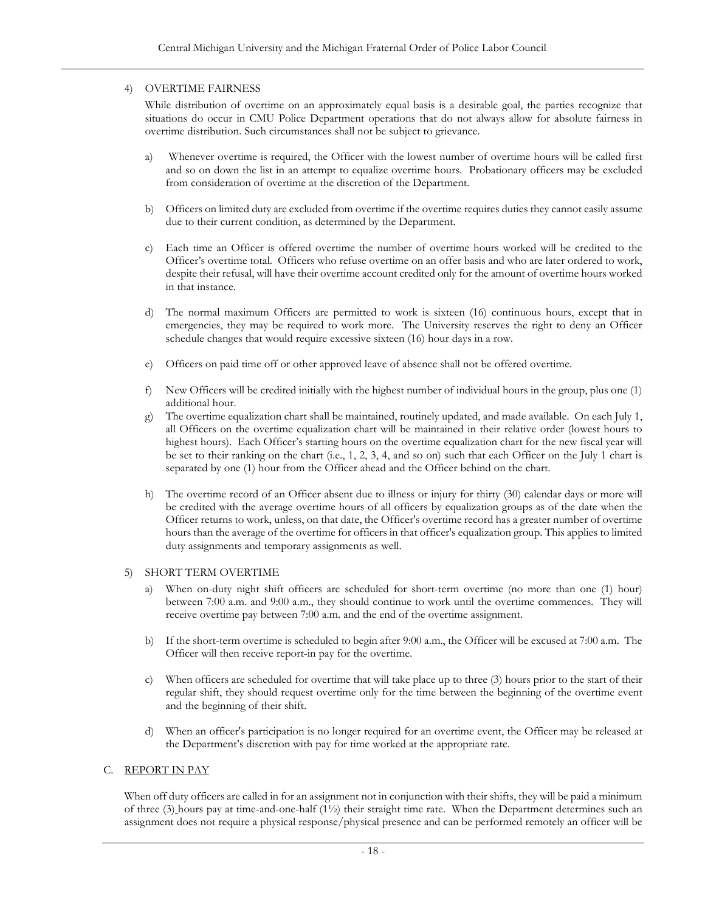# <span id="page-21-0"></span>4) OVERTIME FAIRNESS

While distribution of overtime on an approximately equal basis is a desirable goal, the parties recognize that situations do occur in CMU Police Department operations that do not always allow for absolute fairness in overtime distribution. Such circumstances shall not be subject to grievance.

- a) Whenever overtime is required, the Officer with the lowest number of overtime hours will be called first and so on down the list in an attempt to equalize overtime hours. Probationary officers may be excluded from consideration of overtime at the discretion of the Department.
- b) Officers on limited duty are excluded from overtime if the overtime requires duties they cannot easily assume due to their current condition, as determined by the Department.
- c) Each time an Officer is offered overtime the number of overtime hours worked will be credited to the Officer's overtime total. Officers who refuse overtime on an offer basis and who are later ordered to work, despite their refusal, will have their overtime account credited only for the amount of overtime hours worked in that instance.
- d) The normal maximum Officers are permitted to work is sixteen (16) continuous hours, except that in emergencies, they may be required to work more. The University reserves the right to deny an Officer schedule changes that would require excessive sixteen (16) hour days in a row.
- e) Officers on paid time off or other approved leave of absence shall not be offered overtime.
- f) New Officers will be credited initially with the highest number of individual hours in the group, plus one (1) additional hour.
- g) The overtime equalization chart shall be maintained, routinely updated, and made available. On each July 1, all Officers on the overtime equalization chart will be maintained in their relative order (lowest hours to highest hours). Each Officer's starting hours on the overtime equalization chart for the new fiscal year will be set to their ranking on the chart (i.e., 1, 2, 3, 4, and so on) such that each Officer on the July 1 chart is separated by one (1) hour from the Officer ahead and the Officer behind on the chart.
- h) The overtime record of an Officer absent due to illness or injury for thirty (30) calendar days or more will be credited with the average overtime hours of all officers by equalization groups as of the date when the Officer returns to work, unless, on that date, the Officer's overtime record has a greater number of overtime hours than the average of the overtime for officers in that officer's equalization group. This applies to limited duty assignments and temporary assignments as well.

### <span id="page-21-1"></span>5) SHORT TERM OVERTIME

- a) When on-duty night shift officers are scheduled for short-term overtime (no more than one (1) hour) between 7:00 a.m. and 9:00 a.m., they should continue to work until the overtime commences. They will receive overtime pay between 7:00 a.m. and the end of the overtime assignment.
- b) If the short-term overtime is scheduled to begin after 9:00 a.m., the Officer will be excused at 7:00 a.m. The Officer will then receive report-in pay for the overtime.
- c) When officers are scheduled for overtime that will take place up to three (3) hours prior to the start of their regular shift, they should request overtime only for the time between the beginning of the overtime event and the beginning of their shift.
- d) When an officer's participation is no longer required for an overtime event, the Officer may be released at the Department's discretion with pay for time worked at the appropriate rate.

# <span id="page-21-2"></span>C. REPORT IN PAY

When off duty officers are called in for an assignment not in conjunction with their shifts, they will be paid a minimum of three (3) hours pay at time-and-one-half (1½) their straight time rate. When the Department determines such an assignment does not require a physical response/physical presence and can be performed remotely an officer will be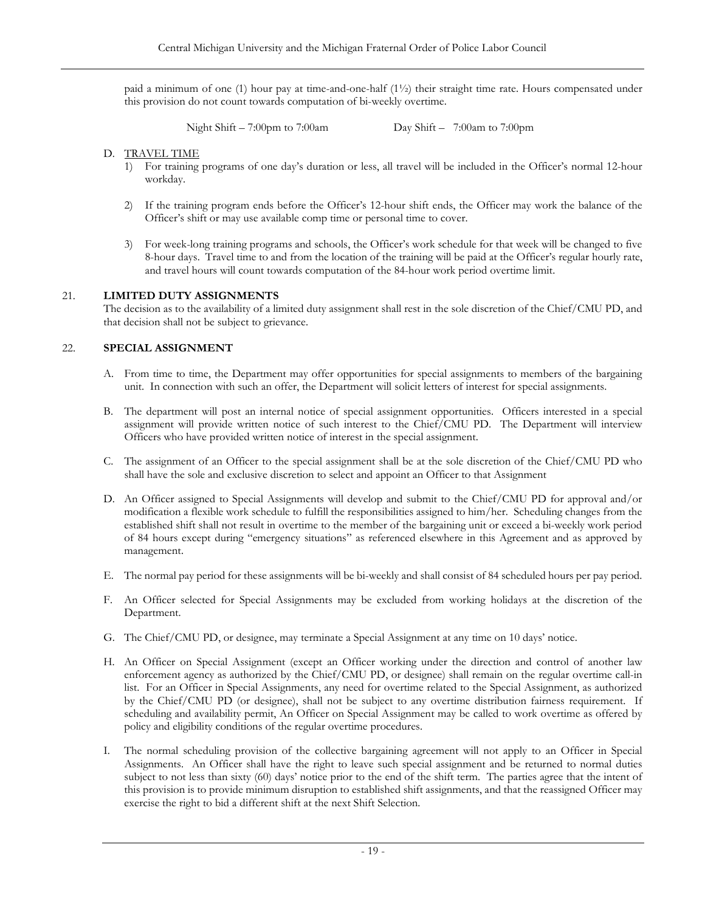paid a minimum of one (1) hour pay at time-and-one-half (1½) their straight time rate. Hours compensated under this provision do not count towards computation of bi-weekly overtime.

Night Shift – 7:00pm to 7:00am Day Shift – 7:00am to 7:00pm

### <span id="page-22-0"></span>D. TRAVEL TIME

- 1) For training programs of one day's duration or less, all travel will be included in the Officer's normal 12-hour workday.
- 2) If the training program ends before the Officer's 12-hour shift ends, the Officer may work the balance of the Officer's shift or may use available comp time or personal time to cover.
- 3) For week-long training programs and schools, the Officer's work schedule for that week will be changed to five 8-hour days. Travel time to and from the location of the training will be paid at the Officer's regular hourly rate, and travel hours will count towards computation of the 84-hour work period overtime limit.

### <span id="page-22-1"></span>21. **LIMITED DUTY ASSIGNMENTS**

The decision as to the availability of a limited duty assignment shall rest in the sole discretion of the Chief/CMU PD, and that decision shall not be subject to grievance.

### <span id="page-22-2"></span>22. **SPECIAL ASSIGNMENT**

- A. From time to time, the Department may offer opportunities for special assignments to members of the bargaining unit. In connection with such an offer, the Department will solicit letters of interest for special assignments.
- B. The department will post an internal notice of special assignment opportunities. Officers interested in a special assignment will provide written notice of such interest to the Chief/CMU PD. The Department will interview Officers who have provided written notice of interest in the special assignment.
- C. The assignment of an Officer to the special assignment shall be at the sole discretion of the Chief/CMU PD who shall have the sole and exclusive discretion to select and appoint an Officer to that Assignment
- D. An Officer assigned to Special Assignments will develop and submit to the Chief/CMU PD for approval and/or modification a flexible work schedule to fulfill the responsibilities assigned to him/her. Scheduling changes from the established shift shall not result in overtime to the member of the bargaining unit or exceed a bi-weekly work period of 84 hours except during "emergency situations" as referenced elsewhere in this Agreement and as approved by management.
- E. The normal pay period for these assignments will be bi-weekly and shall consist of 84 scheduled hours per pay period.
- F. An Officer selected for Special Assignments may be excluded from working holidays at the discretion of the Department.
- G. The Chief/CMU PD, or designee, may terminate a Special Assignment at any time on 10 days' notice.
- H. An Officer on Special Assignment (except an Officer working under the direction and control of another law enforcement agency as authorized by the Chief/CMU PD, or designee) shall remain on the regular overtime call-in list. For an Officer in Special Assignments, any need for overtime related to the Special Assignment, as authorized by the Chief/CMU PD (or designee), shall not be subject to any overtime distribution fairness requirement. If scheduling and availability permit, An Officer on Special Assignment may be called to work overtime as offered by policy and eligibility conditions of the regular overtime procedures.
- I. The normal scheduling provision of the collective bargaining agreement will not apply to an Officer in Special Assignments. An Officer shall have the right to leave such special assignment and be returned to normal duties subject to not less than sixty (60) days' notice prior to the end of the shift term. The parties agree that the intent of this provision is to provide minimum disruption to established shift assignments, and that the reassigned Officer may exercise the right to bid a different shift at the next Shift Selection.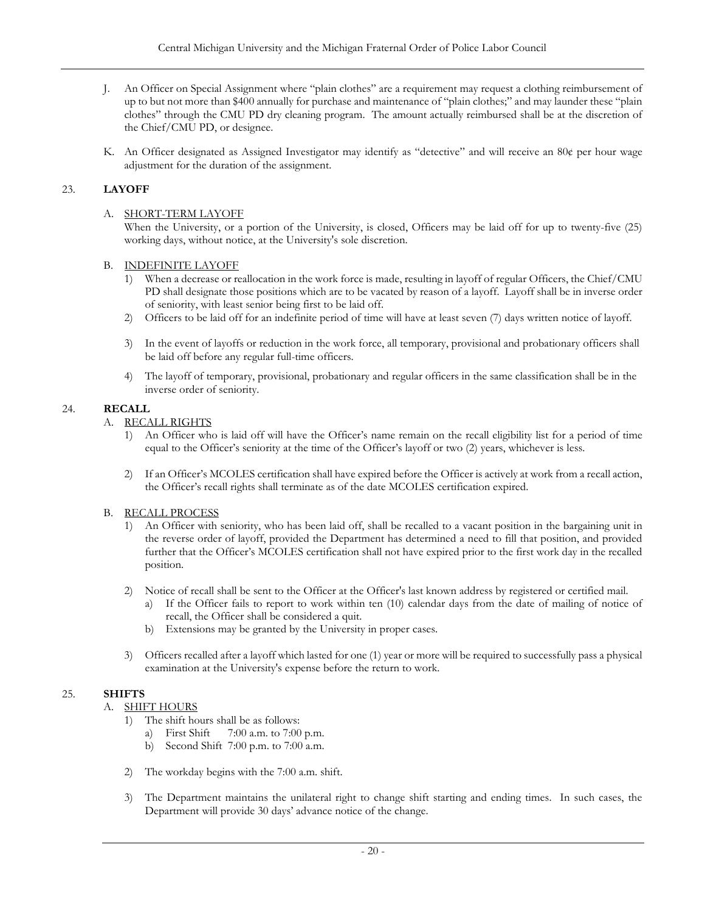- J. An Officer on Special Assignment where "plain clothes" are a requirement may request a clothing reimbursement of up to but not more than \$400 annually for purchase and maintenance of "plain clothes;" and may launder these "plain clothes" through the CMU PD dry cleaning program. The amount actually reimbursed shall be at the discretion of the Chief/CMU PD, or designee.
- K. An Officer designated as Assigned Investigator may identify as "detective" and will receive an 80¢ per hour wage adjustment for the duration of the assignment.

# <span id="page-23-0"></span>23. **LAYOFF**

### A. SHORT-TERM LAYOFF

When the University, or a portion of the University, is closed, Officers may be laid off for up to twenty-five (25) working days, without notice, at the University's sole discretion.

### <span id="page-23-1"></span>B. INDEFINITE LAYOFF

- 1) When a decrease or reallocation in the work force is made, resulting in layoff of regular Officers, the Chief/CMU PD shall designate those positions which are to be vacated by reason of a layoff. Layoff shall be in inverse order of seniority, with least senior being first to be laid off.
- 2) Officers to be laid off for an indefinite period of time will have at least seven (7) days written notice of layoff.
- 3) In the event of layoffs or reduction in the work force, all temporary, provisional and probationary officers shall be laid off before any regular full-time officers.
- 4) The layoff of temporary, provisional, probationary and regular officers in the same classification shall be in the inverse order of seniority.

# <span id="page-23-3"></span><span id="page-23-2"></span>24. **RECALL**

# A. RECALL RIGHTS

- 1) An Officer who is laid off will have the Officer's name remain on the recall eligibility list for a period of time equal to the Officer's seniority at the time of the Officer's layoff or two (2) years, whichever is less.
- 2) If an Officer's MCOLES certification shall have expired before the Officer is actively at work from a recall action, the Officer's recall rights shall terminate as of the date MCOLES certification expired.

# <span id="page-23-4"></span>B. RECALL PROCESS

- 1) An Officer with seniority, who has been laid off, shall be recalled to a vacant position in the bargaining unit in the reverse order of layoff, provided the Department has determined a need to fill that position, and provided further that the Officer's MCOLES certification shall not have expired prior to the first work day in the recalled position.
- 2) Notice of recall shall be sent to the Officer at the Officer's last known address by registered or certified mail.
	- a) If the Officer fails to report to work within ten (10) calendar days from the date of mailing of notice of recall, the Officer shall be considered a quit.
	- b) Extensions may be granted by the University in proper cases.
- 3) Officers recalled after a layoff which lasted for one (1) year or more will be required to successfully pass a physical examination at the University's expense before the return to work.

# <span id="page-23-6"></span><span id="page-23-5"></span>25. **SHIFTS**

# A. SHIFT HOURS

- 1) The shift hours shall be as follows:
	- a) First Shift 7:00 a.m. to 7:00 p.m.
	- b) Second Shift 7:00 p.m. to 7:00 a.m.
- 2) The workday begins with the 7:00 a.m. shift.
- 3) The Department maintains the unilateral right to change shift starting and ending times. In such cases, the Department will provide 30 days' advance notice of the change.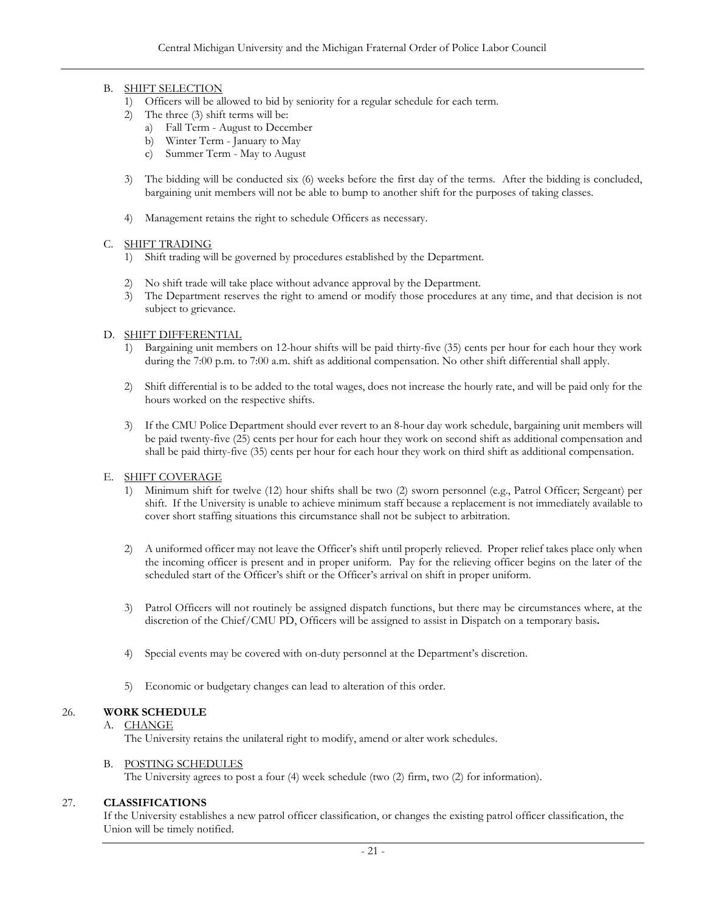# <span id="page-24-0"></span>B. SHIFT SELECTION

- 1) Officers will be allowed to bid by seniority for a regular schedule for each term.
- 2) The three (3) shift terms will be:
	- a) Fall Term August to December
	- b) Winter Term January to May
	- c) Summer Term May to August
- 3) The bidding will be conducted six (6) weeks before the first day of the terms. After the bidding is concluded, bargaining unit members will not be able to bump to another shift for the purposes of taking classes.
- 4) Management retains the right to schedule Officers as necessary.

### <span id="page-24-1"></span>C. SHIFT TRADING

- 1) Shift trading will be governed by procedures established by the Department.
- 2) No shift trade will take place without advance approval by the Department.
- 3) The Department reserves the right to amend or modify those procedures at any time, and that decision is not subject to grievance.

### <span id="page-24-2"></span>D. SHIFT DIFFERENTIAL

- 1) Bargaining unit members on 12-hour shifts will be paid thirty-five (35) cents per hour for each hour they work during the 7:00 p.m. to 7:00 a.m. shift as additional compensation. No other shift differential shall apply.
- 2) Shift differential is to be added to the total wages, does not increase the hourly rate, and will be paid only for the hours worked on the respective shifts.
- 3) If the CMU Police Department should ever revert to an 8-hour day work schedule, bargaining unit members will be paid twenty-five (25) cents per hour for each hour they work on second shift as additional compensation and shall be paid thirty-five (35) cents per hour for each hour they work on third shift as additional compensation.

### <span id="page-24-3"></span>E. SHIFT COVERAGE

- 1) Minimum shift for twelve (12) hour shifts shall be two (2) sworn personnel (e.g., Patrol Officer; Sergeant) per shift. If the University is unable to achieve minimum staff because a replacement is not immediately available to cover short staffing situations this circumstance shall not be subject to arbitration.
- 2) A uniformed officer may not leave the Officer's shift until properly relieved. Proper relief takes place only when the incoming officer is present and in proper uniform. Pay for the relieving officer begins on the later of the scheduled start of the Officer's shift or the Officer's arrival on shift in proper uniform.
- 3) Patrol Officers will not routinely be assigned dispatch functions, but there may be circumstances where, at the discretion of the Chief/CMU PD, Officers will be assigned to assist in Dispatch on a temporary basis**.**
- 4) Special events may be covered with on-duty personnel at the Department's discretion.
- 5) Economic or budgetary changes can lead to alteration of this order.

# <span id="page-24-5"></span><span id="page-24-4"></span>26. **WORK SCHEDULE**

# A. CHANGE

The University retains the unilateral right to modify, amend or alter work schedules.

### B. POSTING SCHEDULES

The University agrees to post a four (4) week schedule (two (2) firm, two (2) for information).

### <span id="page-24-7"></span><span id="page-24-6"></span>27. **CLASSIFICATIONS**

If the University establishes a new patrol officer classification, or changes the existing patrol officer classification, the Union will be timely notified.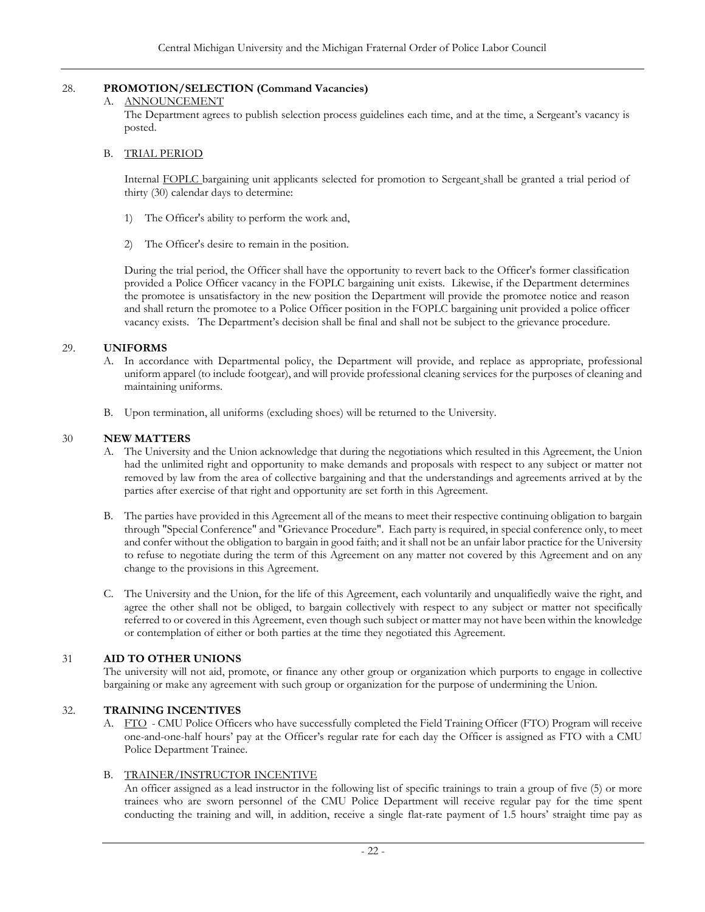# <span id="page-25-0"></span>28. **PROMOTION/SELECTION (Command Vacancies)**

# A. ANNOUNCEMENT

The Department agrees to publish selection process guidelines each time, and at the time, a Sergeant's vacancy is posted.

### <span id="page-25-1"></span>B. TRIAL PERIOD

Internal FOPLC bargaining unit applicants selected for promotion to Sergeant shall be granted a trial period of thirty (30) calendar days to determine:

- 1) The Officer's ability to perform the work and,
- 2) The Officer's desire to remain in the position.

During the trial period, the Officer shall have the opportunity to revert back to the Officer's former classification provided a Police Officer vacancy in the FOPLC bargaining unit exists. Likewise, if the Department determines the promotee is unsatisfactory in the new position the Department will provide the promotee notice and reason and shall return the promotee to a Police Officer position in the FOPLC bargaining unit provided a police officer vacancy exists. The Department's decision shall be final and shall not be subject to the grievance procedure.

### <span id="page-25-2"></span>29. **UNIFORMS**

- A. In accordance with Departmental policy, the Department will provide, and replace as appropriate, professional uniform apparel (to include footgear), and will provide professional cleaning services for the purposes of cleaning and maintaining uniforms.
- B. Upon termination, all uniforms (excluding shoes) will be returned to the University.

### <span id="page-25-3"></span>30 **NEW MATTERS**

- A. The University and the Union acknowledge that during the negotiations which resulted in this Agreement, the Union had the unlimited right and opportunity to make demands and proposals with respect to any subject or matter not removed by law from the area of collective bargaining and that the understandings and agreements arrived at by the parties after exercise of that right and opportunity are set forth in this Agreement.
- B. The parties have provided in this Agreement all of the means to meet their respective continuing obligation to bargain through "Special Conference" and "Grievance Procedure". Each party is required, in special conference only, to meet and confer without the obligation to bargain in good faith; and it shall not be an unfair labor practice for the University to refuse to negotiate during the term of this Agreement on any matter not covered by this Agreement and on any change to the provisions in this Agreement.
- C. The University and the Union, for the life of this Agreement, each voluntarily and unqualifiedly waive the right, and agree the other shall not be obliged, to bargain collectively with respect to any subject or matter not specifically referred to or covered in this Agreement, even though such subject or matter may not have been within the knowledge or contemplation of either or both parties at the time they negotiated this Agreement.

# <span id="page-25-4"></span>31 **AID TO OTHER UNIONS**

The university will not aid, promote, or finance any other group or organization which purports to engage in collective bargaining or make any agreement with such group or organization for the purpose of undermining the Union.

### <span id="page-25-5"></span>32. **TRAINING INCENTIVES**

A. FTO - CMU Police Officers who have successfully completed the Field Training Officer (FTO) Program will receive one-and-one-half hours' pay at the Officer's regular rate for each day the Officer is assigned as FTO with a CMU Police Department Trainee.

### B. TRAINER/INSTRUCTOR INCENTIVE

An officer assigned as a lead instructor in the following list of specific trainings to train a group of five (5) or more trainees who are sworn personnel of the CMU Police Department will receive regular pay for the time spent conducting the training and will, in addition, receive a single flat-rate payment of 1.5 hours' straight time pay as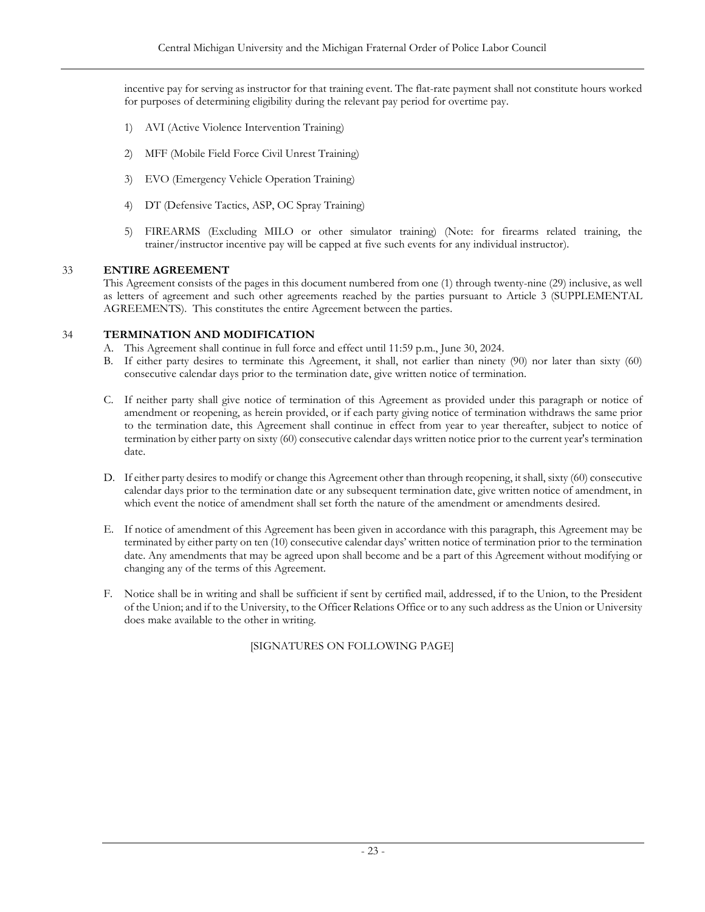incentive pay for serving as instructor for that training event. The flat-rate payment shall not constitute hours worked for purposes of determining eligibility during the relevant pay period for overtime pay.

- 1) AVI (Active Violence Intervention Training)
- 2) MFF (Mobile Field Force Civil Unrest Training)
- 3) EVO (Emergency Vehicle Operation Training)
- 4) DT (Defensive Tactics, ASP, OC Spray Training)
- 5) FIREARMS (Excluding MILO or other simulator training) (Note: for firearms related training, the trainer/instructor incentive pay will be capped at five such events for any individual instructor).

# <span id="page-26-0"></span>33 **ENTIRE AGREEMENT**

This Agreement consists of the pages in this document numbered from one (1) through twenty-nine (29) inclusive, as well as letters of agreement and such other agreements reached by the parties pursuant to Article 3 (SUPPLEMENTAL AGREEMENTS). This constitutes the entire Agreement between the parties.

# <span id="page-26-1"></span>34 **TERMINATION AND MODIFICATION**

- A. This Agreement shall continue in full force and effect until 11:59 p.m., June 30, 2024.
- B. If either party desires to terminate this Agreement, it shall, not earlier than ninety (90) nor later than sixty (60) consecutive calendar days prior to the termination date, give written notice of termination.
- C. If neither party shall give notice of termination of this Agreement as provided under this paragraph or notice of amendment or reopening, as herein provided, or if each party giving notice of termination withdraws the same prior to the termination date, this Agreement shall continue in effect from year to year thereafter, subject to notice of termination by either party on sixty (60) consecutive calendar days written notice prior to the current year's termination date.
- D. If either party desires to modify or change this Agreement other than through reopening, it shall, sixty (60) consecutive calendar days prior to the termination date or any subsequent termination date, give written notice of amendment, in which event the notice of amendment shall set forth the nature of the amendment or amendments desired.
- E. If notice of amendment of this Agreement has been given in accordance with this paragraph, this Agreement may be terminated by either party on ten (10) consecutive calendar days' written notice of termination prior to the termination date. Any amendments that may be agreed upon shall become and be a part of this Agreement without modifying or changing any of the terms of this Agreement.
- F. Notice shall be in writing and shall be sufficient if sent by certified mail, addressed, if to the Union, to the President of the Union; and if to the University, to the Officer Relations Office or to any such address as the Union or University does make available to the other in writing.

# [SIGNATURES ON FOLLOWING PAGE]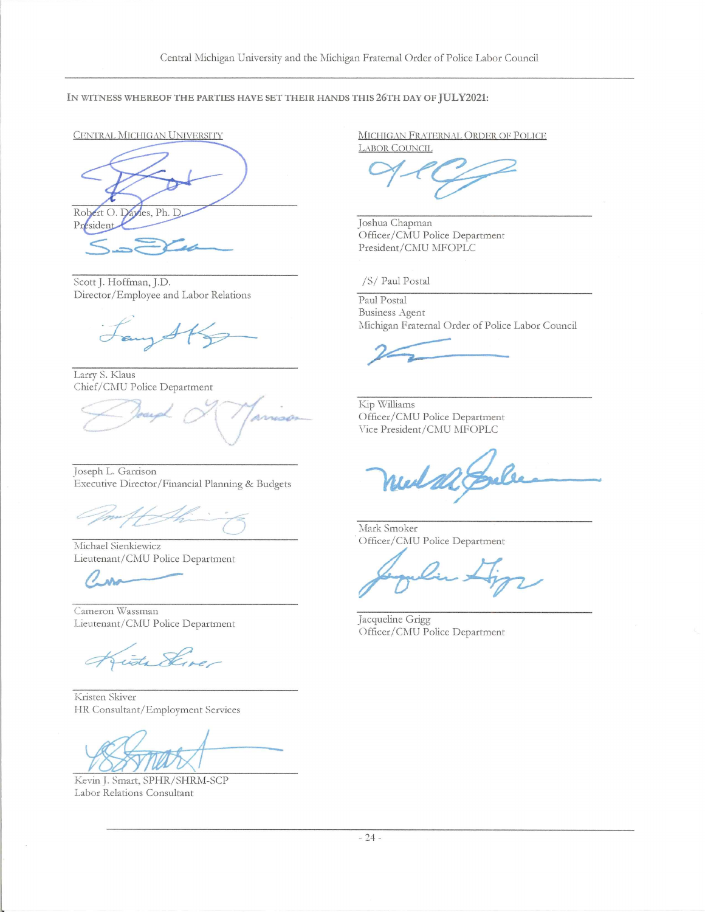IN WITNESS WHEREOF THE PARTIES HAVE SET THEIR HANDS THIS 26TH DAY OF JULY2021:

Robert O. Davies, Ph. D. Président

Scott J. Hoffman, J.D. Director/Employee and Labor Relations

tany SKg

Larry S. Klaus Chief/CMU Police Department

Joseph L. Garrison Executive Director/Financial Planning & Budgets

Michael Sienkiewicz Lieutenant/CMU Police Department

 $\overline{\mathcal{C}}$ 

Cameron Wassman Lieutenant/CMU Police Department

 $\overbrace{\mathscr{A}}^{\mathscr{A}}$ 

Kristen Skiver HR Consultant/Employment Services

 $\overline{\phantom{a}}$ / 7 (Sy'y/^i '7;'

Kevin J. Smart, SPHR/SHRM-SCP Labor Relations Consultant

CENTRAL MICHIGAN UNIVERSITY MICHIGAN FRATERNAL ORDER OF POLICE LABOR COUNCIL

 $94C$ 

Joshua Chapman Officer/CMU Police Department President/CMU MFOPLC

/S/ Paul Postal

Paul Postal Business Agent Michigan Fraternal Order of Police Labor Council

Kip Williams Officer/CMU Police Department Vice President/CMU MFOPLC

 $\overline{\mathcal{A}}$ A--&.

Mark Smoker Offlcer/CMU Police Department

Jacqueline Grigg Officer/CMU Police Department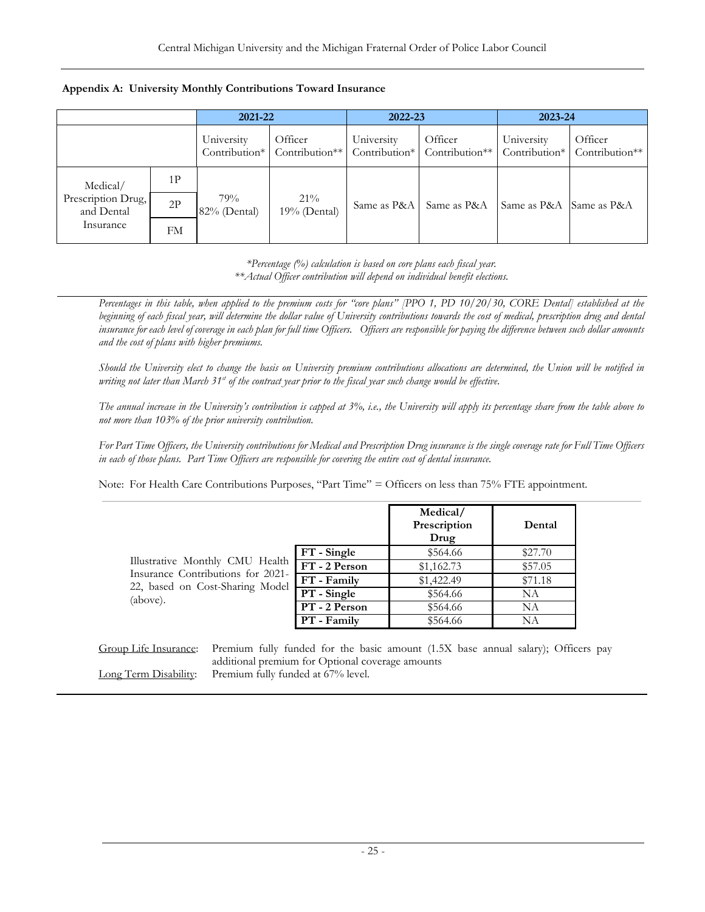<span id="page-28-0"></span>

|                                  |    | 2021-22             |                                         | 2022-23     |                                         | 2023-24                     |                           |
|----------------------------------|----|---------------------|-----------------------------------------|-------------|-----------------------------------------|-----------------------------|---------------------------|
|                                  |    | University          | Officer<br>Contribution* Contribution** | University  | Officer<br>Contribution* Contribution** | University<br>Contribution* | Officer<br>Contribution** |
| Medical/                         | 1P |                     |                                         |             |                                         |                             |                           |
| Prescription Drug,<br>and Dental | 2P | 79%<br>82% (Dental) | $21\%$<br>19% (Dental)                  | Same as P&A | Same as P&A                             | Same as P&A                 | Same as P&A               |
| Insurance                        | FM |                     |                                         |             |                                         |                             |                           |

*\*Percentage (%) calculation is based on core plans each fiscal year. \*\*Actual Officer contribution will depend on individual benefit elections.*

*Percentages in this table, when applied to the premium costs for "core plans" [PPO 1, PD 10/20/30, CORE Dental] established at the*  beginning of each fiscal year, will determine the dollar value of University contributions towards the cost of medical, prescription drug and dental *insurance for each level of coverage in each plan for full time Officers. Officers are responsible for paying the difference between such dollar amounts and the cost of plans with higher premiums.* 

*Should the University elect to change the basis on University premium contributions allocations are determined, the Union will be notified in writing not later than March 31st of the contract year prior to the fiscal year such change would be effective*.

*The annual increase in the University's contribution is capped at 3%, i.e., the University will apply its percentage share from the table above to not more than 103% of the prior university contribution.*

*For Part Time Officers, the University contributions for Medical and Prescription Drug insurance is the single coverage rate for Full Time Officers in each of those plans. Part Time Officers are responsible for covering the entire cost of dental insurance.*

Note: For Health Care Contributions Purposes, "Part Time" = Officers on less than 75% FTE appointment.

|                                                                                  |               | Medical/<br>Prescription<br>Drug | Dental  |
|----------------------------------------------------------------------------------|---------------|----------------------------------|---------|
|                                                                                  | FT - Single   | \$564.66                         | \$27.70 |
| Illustrative Monthly CMU Health                                                  | FT - 2 Person | \$1,162.73                       | \$57.05 |
| Insurance Contributions for 2021-<br>22, based on Cost-Sharing Model<br>(above). | FT - Family   | \$1,422.49                       | \$71.18 |
|                                                                                  | PT - Single   | \$564.66                         | NA      |
|                                                                                  | PT - 2 Person | \$564.66                         | NA      |
|                                                                                  | PT - Family   | \$564.66                         | NA      |

| Group Life Insurance: Premium fully funded for the basic amount (1.5X base annual salary); Officers pay |
|---------------------------------------------------------------------------------------------------------|
| additional premium for Optional coverage amounts                                                        |
| Long Term Disability: Premium fully funded at 67% level.                                                |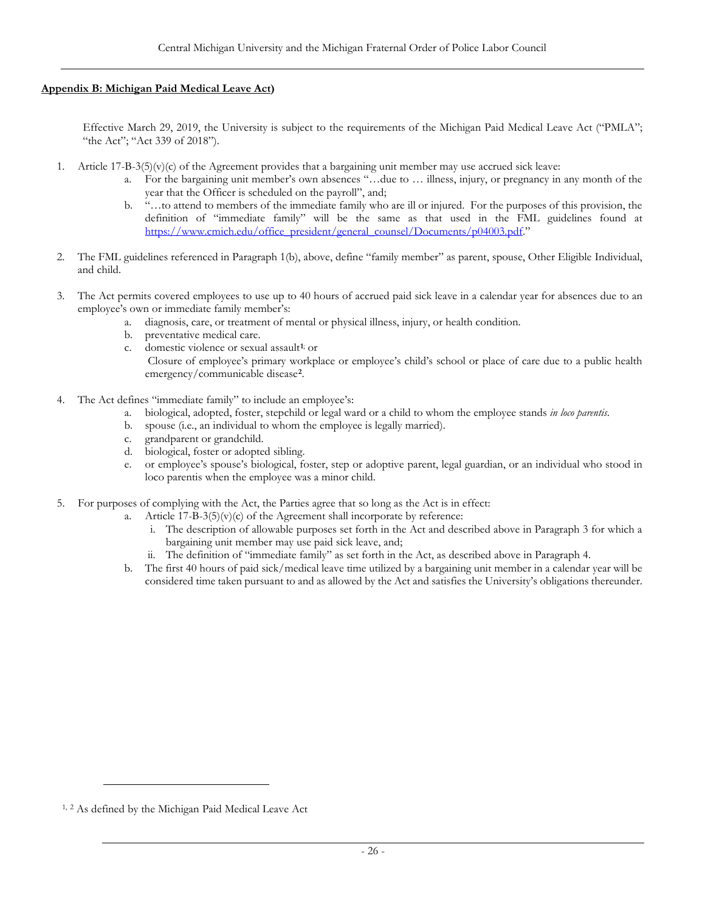# <span id="page-29-0"></span>**Appendix B: Michigan Paid Medical Leave Act)**

Effective March 29, 2019, the University is subject to the requirements of the Michigan Paid Medical Leave Act ("PMLA"; "the Act"; "Act 339 of 2018").

- 1. Article  $17-B-3(5)(v)(c)$  of the Agreement provides that a bargaining unit member may use accrued sick leave:
	- a. For the bargaining unit member's own absences "…due to … illness, injury, or pregnancy in any month of the year that the Officer is scheduled on the payroll", and;
	- b. "…to attend to members of the immediate family who are ill or injured. For the purposes of this provision, the definition of "immediate family" will be the same as that used in the FML guidelines found at [https://www.cmich.edu/office\\_president/general\\_counsel/Documents/p04003.pdf.](https://www.cmich.edu/office_president/general_counsel/Documents/p04003.pdf)"
- 2. The FML guidelines referenced in Paragraph 1(b), above, define "family member" as parent, spouse, Other Eligible Individual, and child.
- 3. The Act permits covered employees to use up to 40 hours of accrued paid sick leave in a calendar year for absences due to an employee's own or immediate family member's:
	- a. diagnosis, care, or treatment of mental or physical illness, injury, or health condition.
	- b. preventative medical care.
	- c. domestic violence or sexual assault**[1](#page-29-1)**; or
		- Closure of employee's primary workplace or employee's child's school or place of care due to a public health emergency/communicable disease**[2](#page-29-2)**.
- 4. The Act defines "immediate family" to include an employee's:
	- a. biological, adopted, foster, stepchild or legal ward or a child to whom the employee stands *in loco parentis*.
	- b. spouse (i.e., an individual to whom the employee is legally married).
	- c. grandparent or grandchild.
	- d. biological, foster or adopted sibling.
	- e. or employee's spouse's biological, foster, step or adoptive parent, legal guardian, or an individual who stood in loco parentis when the employee was a minor child.
- 5. For purposes of complying with the Act, the Parties agree that so long as the Act is in effect:
	- a. Article  $17-\text{B}-3(5)(v)(c)$  of the Agreement shall incorporate by reference:
		- i. The description of allowable purposes set forth in the Act and described above in Paragraph 3 for which a bargaining unit member may use paid sick leave, and;
		- ii. The definition of "immediate family" as set forth in the Act, as described above in Paragraph 4.
	- b. The first 40 hours of paid sick/medical leave time utilized by a bargaining unit member in a calendar year will be considered time taken pursuant to and as allowed by the Act and satisfies the University's obligations thereunder.

<span id="page-29-2"></span><span id="page-29-1"></span><sup>1,</sup> <sup>2</sup> As defined by the Michigan Paid Medical Leave Act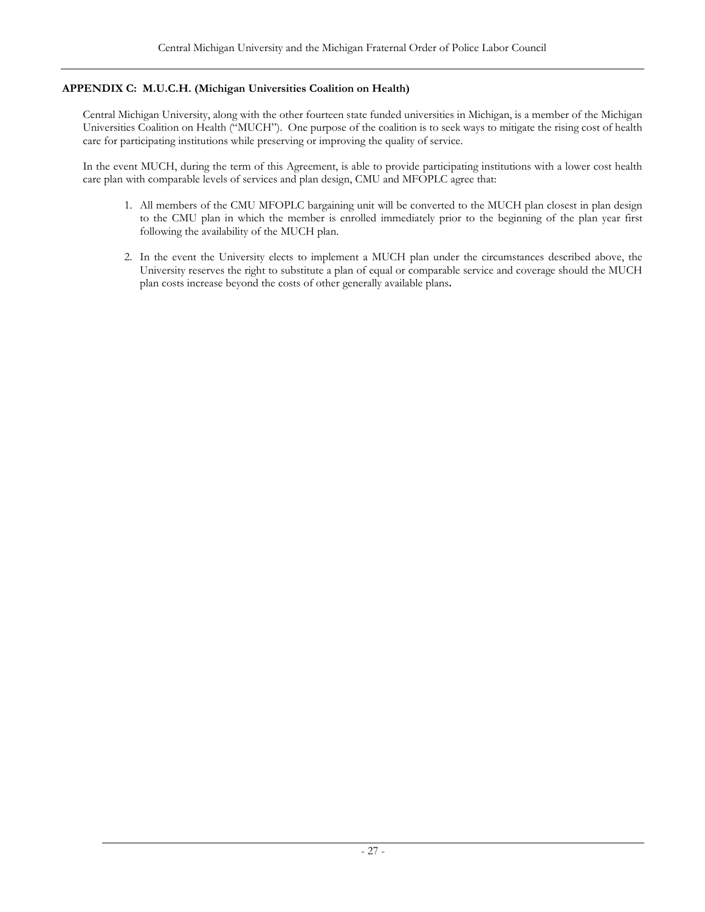# <span id="page-30-0"></span>**APPENDIX C: M.U.C.H. (Michigan Universities Coalition on Health)**

Central Michigan University, along with the other fourteen state funded universities in Michigan, is a member of the Michigan Universities Coalition on Health ("MUCH"). One purpose of the coalition is to seek ways to mitigate the rising cost of health care for participating institutions while preserving or improving the quality of service.

In the event MUCH, during the term of this Agreement, is able to provide participating institutions with a lower cost health care plan with comparable levels of services and plan design, CMU and MFOPLC agree that:

- 1. All members of the CMU MFOPLC bargaining unit will be converted to the MUCH plan closest in plan design to the CMU plan in which the member is enrolled immediately prior to the beginning of the plan year first following the availability of the MUCH plan.
- 2. In the event the University elects to implement a MUCH plan under the circumstances described above, the University reserves the right to substitute a plan of equal or comparable service and coverage should the MUCH plan costs increase beyond the costs of other generally available plans**.**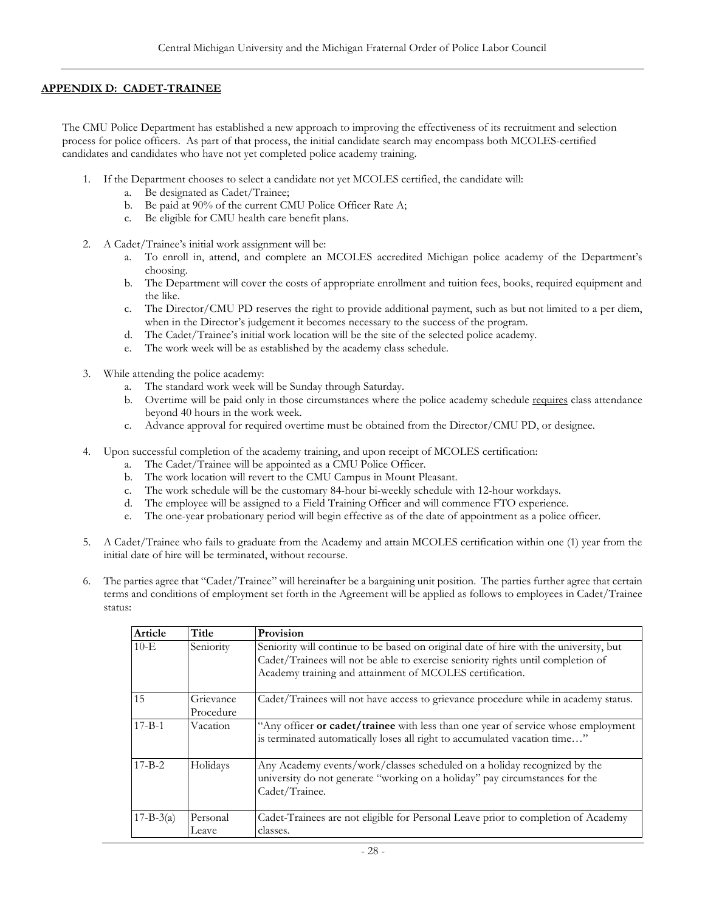### <span id="page-31-0"></span>**APPENDIX D: CADET-TRAINEE**

The CMU Police Department has established a new approach to improving the effectiveness of its recruitment and selection process for police officers. As part of that process, the initial candidate search may encompass both MCOLES-certified candidates and candidates who have not yet completed police academy training.

- 1. If the Department chooses to select a candidate not yet MCOLES certified, the candidate will:
	- a. Be designated as Cadet/Trainee;
	- b. Be paid at 90% of the current CMU Police Officer Rate A;
	- c. Be eligible for CMU health care benefit plans.
- 2. A Cadet/Trainee's initial work assignment will be:
	- a. To enroll in, attend, and complete an MCOLES accredited Michigan police academy of the Department's choosing.
	- b. The Department will cover the costs of appropriate enrollment and tuition fees, books, required equipment and the like.
	- c. The Director/CMU PD reserves the right to provide additional payment, such as but not limited to a per diem, when in the Director's judgement it becomes necessary to the success of the program.
	- d. The Cadet/Trainee's initial work location will be the site of the selected police academy.
	- e. The work week will be as established by the academy class schedule.
- 3. While attending the police academy:
	- a. The standard work week will be Sunday through Saturday.
	- b. Overtime will be paid only in those circumstances where the police academy schedule requires class attendance beyond 40 hours in the work week.
	- c. Advance approval for required overtime must be obtained from the Director/CMU PD, or designee.
- 4. Upon successful completion of the academy training, and upon receipt of MCOLES certification:
	- a. The Cadet/Trainee will be appointed as a CMU Police Officer.
	- b. The work location will revert to the CMU Campus in Mount Pleasant.
	- c. The work schedule will be the customary 84-hour bi-weekly schedule with 12-hour workdays.
	- d. The employee will be assigned to a Field Training Officer and will commence FTO experience.
	- e. The one-year probationary period will begin effective as of the date of appointment as a police officer.
- 5. A Cadet/Trainee who fails to graduate from the Academy and attain MCOLES certification within one (1) year from the initial date of hire will be terminated, without recourse.
- 6. The parties agree that "Cadet/Trainee" will hereinafter be a bargaining unit position. The parties further agree that certain terms and conditions of employment set forth in the Agreement will be applied as follows to employees in Cadet/Trainee status:

| Article         | Title                  | Provision                                                                                                                                                                                                                             |
|-----------------|------------------------|---------------------------------------------------------------------------------------------------------------------------------------------------------------------------------------------------------------------------------------|
| $10-E$          | Seniority              | Seniority will continue to be based on original date of hire with the university, but<br>Cadet/Trainees will not be able to exercise seniority rights until completion of<br>Academy training and attainment of MCOLES certification. |
| 15              | Grievance<br>Procedure | Cadet/Trainees will not have access to grievance procedure while in academy status.                                                                                                                                                   |
| $17 - B - 1$    | Vacation               | "Any officer or cadet/trainee with less than one year of service whose employment<br>is terminated automatically loses all right to accumulated vacation time"                                                                        |
| $17 - B - 2$    | Holidays               | Any Academy events/work/classes scheduled on a holiday recognized by the<br>university do not generate "working on a holiday" pay circumstances for the<br>Cadet/Trainee.                                                             |
| $17 - B - 3(a)$ | Personal<br>Leave      | Cadet-Trainees are not eligible for Personal Leave prior to completion of Academy<br>classes.                                                                                                                                         |